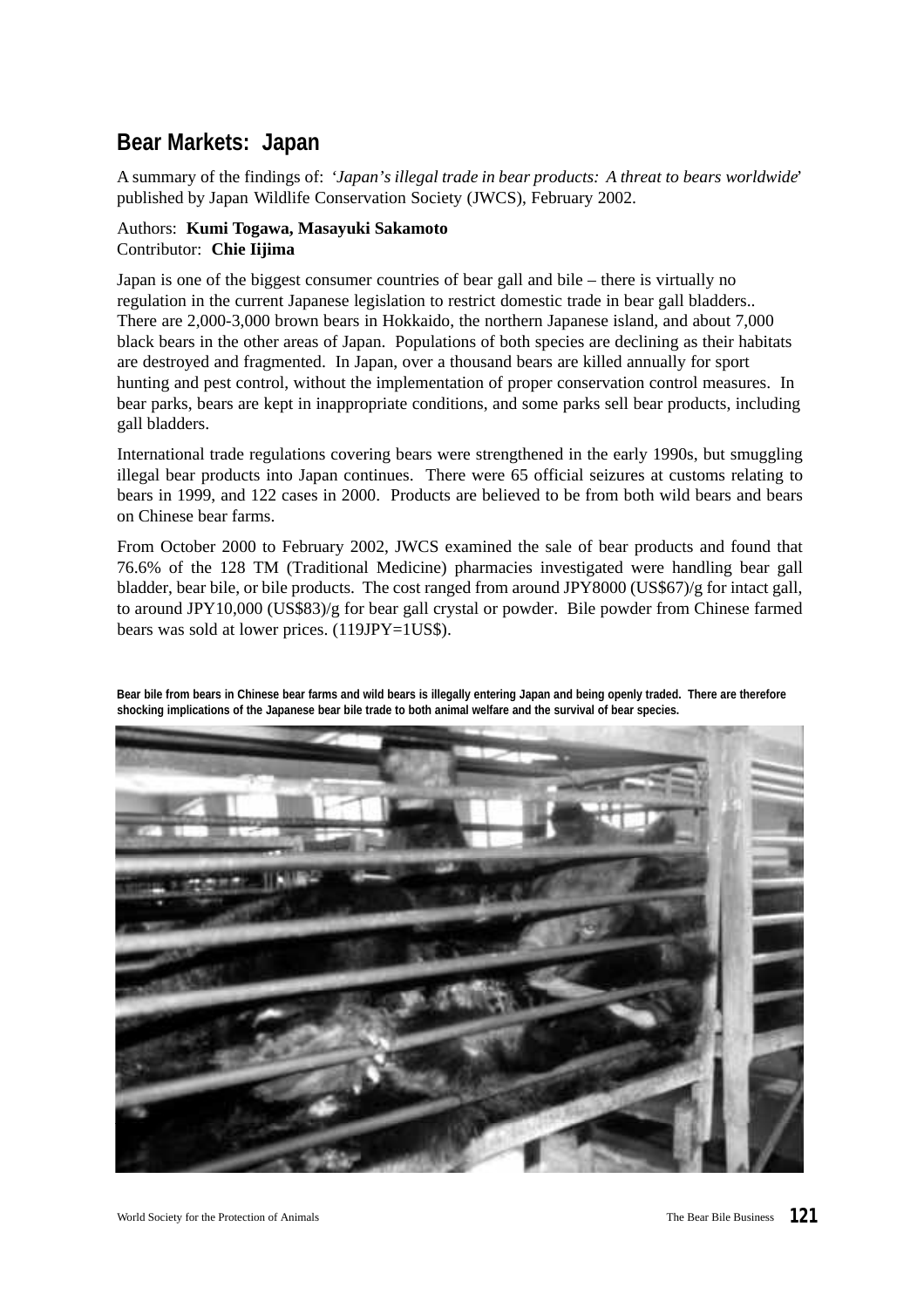# **Bear Markets: Japan**

A summary of the findings of: *'Japan's illegal trade in bear products: A threat to bears worldwide*' published by Japan Wildlife Conservation Society (JWCS), February 2002.

# Authors: **Kumi Togawa, Masayuki Sakamoto** Contributor: **Chie Iijima**

Japan is one of the biggest consumer countries of bear gall and bile – there is virtually no regulation in the current Japanese legislation to restrict domestic trade in bear gall bladders.. There are 2,000-3,000 brown bears in Hokkaido, the northern Japanese island, and about 7,000 black bears in the other areas of Japan. Populations of both species are declining as their habitats are destroyed and fragmented. In Japan, over a thousand bears are killed annually for sport hunting and pest control, without the implementation of proper conservation control measures. In bear parks, bears are kept in inappropriate conditions, and some parks sell bear products, including gall bladders.

International trade regulations covering bears were strengthened in the early 1990s, but smuggling illegal bear products into Japan continues. There were 65 official seizures at customs relating to bears in 1999, and 122 cases in 2000. Products are believed to be from both wild bears and bears on Chinese bear farms.

From October 2000 to February 2002, JWCS examined the sale of bear products and found that 76.6% of the 128 TM (Traditional Medicine) pharmacies investigated were handling bear gall bladder, bear bile, or bile products. The cost ranged from around JPY8000 (US\$67)/g for intact gall, to around JPY10,000 (US\$83)/g for bear gall crystal or powder. Bile powder from Chinese farmed bears was sold at lower prices. (119JPY=1US\$).

**Bear bile from bears in Chinese bear farms and wild bears is illegally entering Japan and being openly traded. There are therefore shocking implications of the Japanese bear bile trade to both animal welfare and the survival of bear species.**

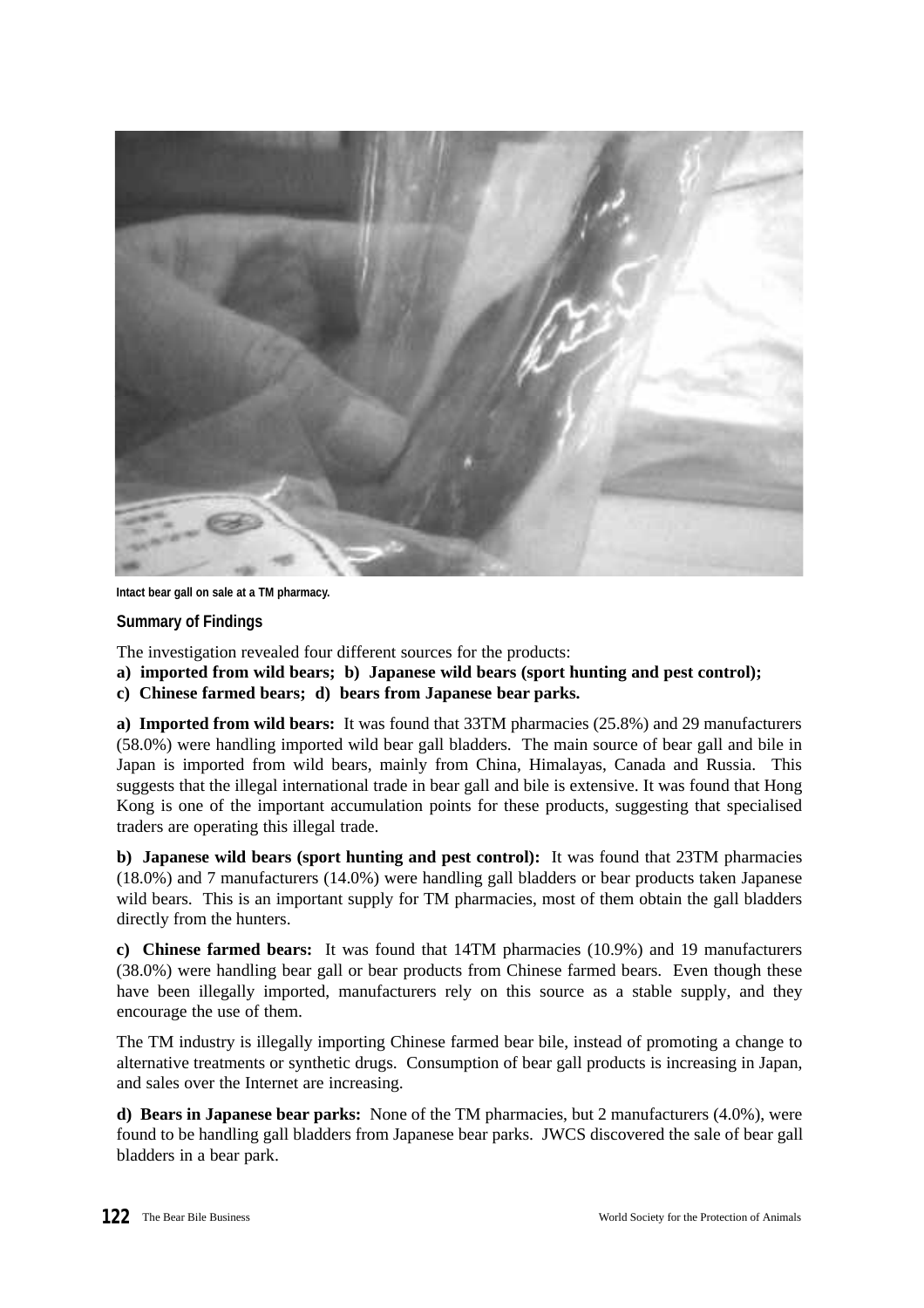

**Intact bear gall on sale at a TM pharmacy.**

# **Summary of Findings**

The investigation revealed four different sources for the products:

- **a) imported from wild bears; b) Japanese wild bears (sport hunting and pest control);**
- **c) Chinese farmed bears; d) bears from Japanese bear parks.**

**a) Imported from wild bears:** It was found that 33TM pharmacies (25.8%) and 29 manufacturers (58.0%) were handling imported wild bear gall bladders. The main source of bear gall and bile in Japan is imported from wild bears, mainly from China, Himalayas, Canada and Russia. This suggests that the illegal international trade in bear gall and bile is extensive. It was found that Hong Kong is one of the important accumulation points for these products, suggesting that specialised traders are operating this illegal trade.

**b) Japanese wild bears (sport hunting and pest control):** It was found that 23TM pharmacies (18.0%) and 7 manufacturers (14.0%) were handling gall bladders or bear products taken Japanese wild bears. This is an important supply for TM pharmacies, most of them obtain the gall bladders directly from the hunters.

**c) Chinese farmed bears:** It was found that 14TM pharmacies (10.9%) and 19 manufacturers (38.0%) were handling bear gall or bear products from Chinese farmed bears. Even though these have been illegally imported, manufacturers rely on this source as a stable supply, and they encourage the use of them.

The TM industry is illegally importing Chinese farmed bear bile, instead of promoting a change to alternative treatments or synthetic drugs. Consumption of bear gall products is increasing in Japan, and sales over the Internet are increasing.

**d) Bears in Japanese bear parks:** None of the TM pharmacies, but 2 manufacturers (4.0%), were found to be handling gall bladders from Japanese bear parks. JWCS discovered the sale of bear gall bladders in a bear park.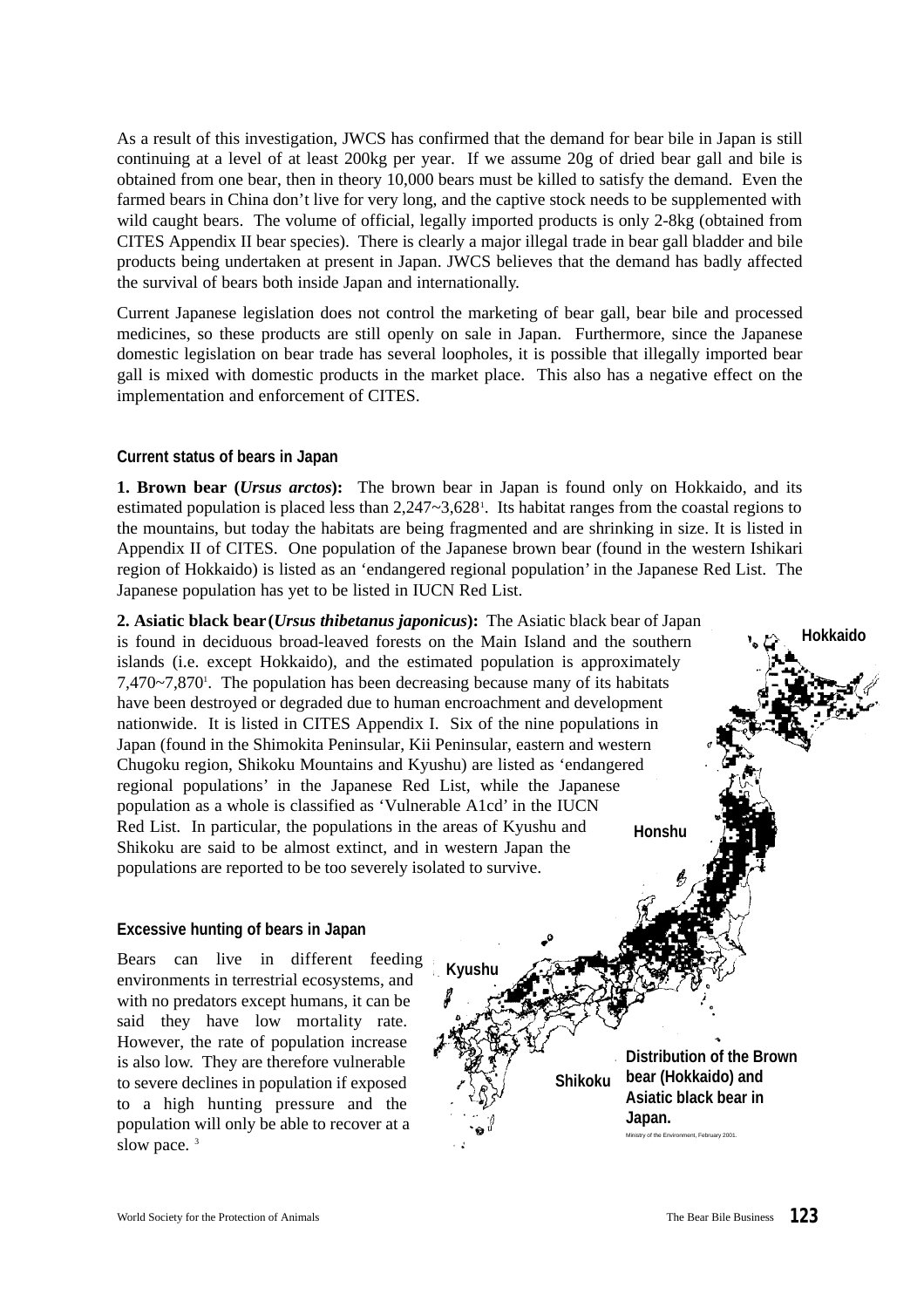As a result of this investigation, JWCS has confirmed that the demand for bear bile in Japan is still continuing at a level of at least 200kg per year. If we assume 20g of dried bear gall and bile is obtained from one bear, then in theory 10,000 bears must be killed to satisfy the demand. Even the farmed bears in China don't live for very long, and the captive stock needs to be supplemented with wild caught bears. The volume of official, legally imported products is only 2-8kg (obtained from CITES Appendix II bear species). There is clearly a major illegal trade in bear gall bladder and bile products being undertaken at present in Japan. JWCS believes that the demand has badly affected the survival of bears both inside Japan and internationally.

Current Japanese legislation does not control the marketing of bear gall, bear bile and processed medicines, so these products are still openly on sale in Japan. Furthermore, since the Japanese domestic legislation on bear trade has several loopholes, it is possible that illegally imported bear gall is mixed with domestic products in the market place. This also has a negative effect on the implementation and enforcement of CITES.

#### **Current status of bears in Japan**

**1. Brown bear (***Ursus arctos***):** The brown bear in Japan is found only on Hokkaido, and its estimated population is placed less than 2,247~3,628<sup>1</sup>. Its habitat ranges from the coastal regions to the mountains, but today the habitats are being fragmented and are shrinking in size. It is listed in Appendix II of CITES. One population of the Japanese brown bear (found in the western Ishikari region of Hokkaido) is listed as an 'endangered regional population' in the Japanese Red List. The Japanese population has yet to be listed in IUCN Red List.

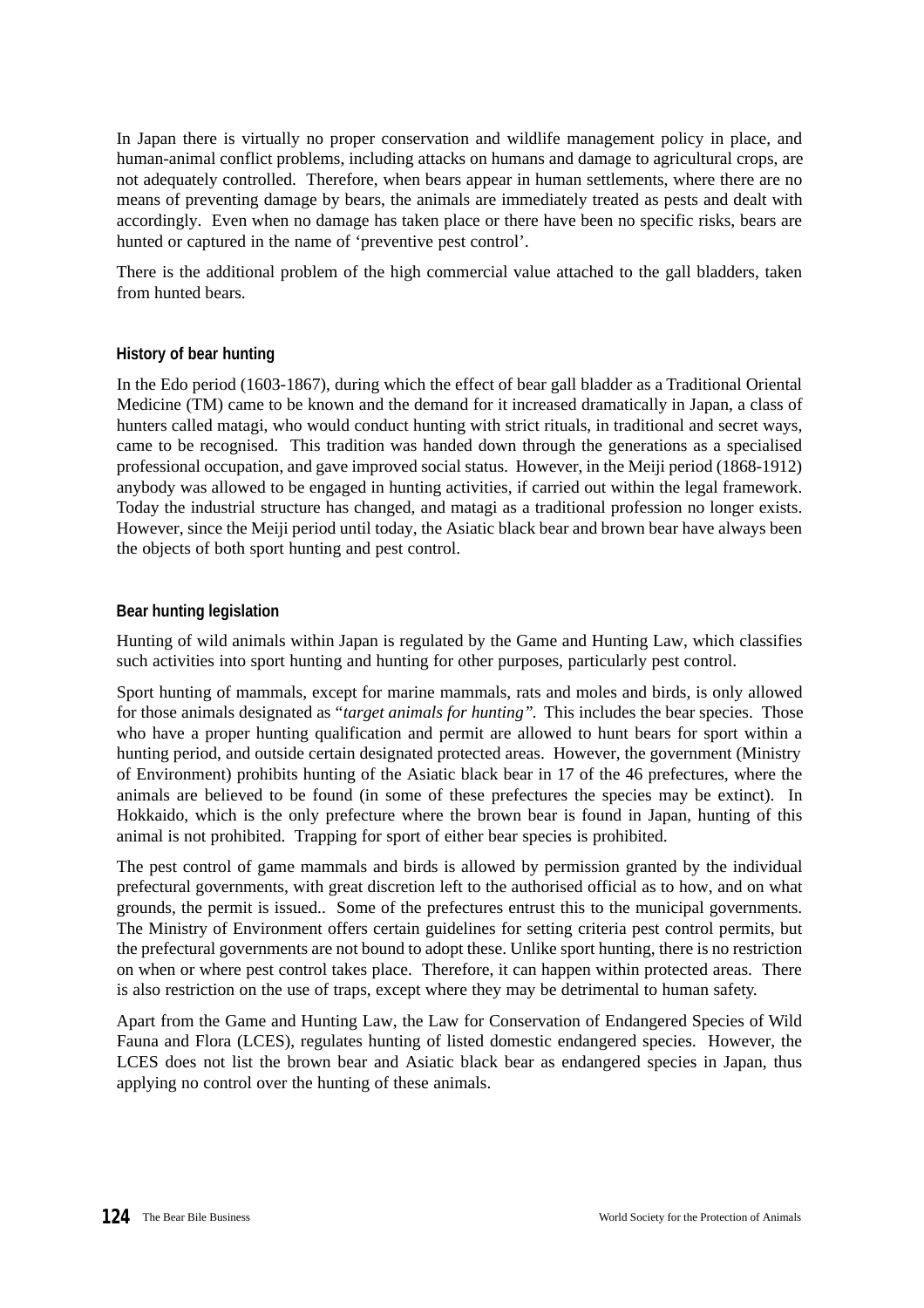In Japan there is virtually no proper conservation and wildlife management policy in place, and human-animal conflict problems, including attacks on humans and damage to agricultural crops, are not adequately controlled. Therefore, when bears appear in human settlements, where there are no means of preventing damage by bears, the animals are immediately treated as pests and dealt with accordingly. Even when no damage has taken place or there have been no specific risks, bears are hunted or captured in the name of 'preventive pest control'.

There is the additional problem of the high commercial value attached to the gall bladders, taken from hunted bears.

## **History of bear hunting**

In the Edo period (1603-1867), during which the effect of bear gall bladder as a Traditional Oriental Medicine (TM) came to be known and the demand for it increased dramatically in Japan, a class of hunters called matagi, who would conduct hunting with strict rituals, in traditional and secret ways, came to be recognised. This tradition was handed down through the generations as a specialised professional occupation, and gave improved social status. However, in the Meiji period (1868-1912) anybody was allowed to be engaged in hunting activities, if carried out within the legal framework. Today the industrial structure has changed, and matagi as a traditional profession no longer exists. However, since the Meiji period until today, the Asiatic black bear and brown bear have always been the objects of both sport hunting and pest control.

#### **Bear hunting legislation**

Hunting of wild animals within Japan is regulated by the Game and Hunting Law, which classifies such activities into sport hunting and hunting for other purposes, particularly pest control.

Sport hunting of mammals, except for marine mammals, rats and moles and birds, is only allowed for those animals designated as *"target animals for hunting"*. This includes the bear species. Those who have a proper hunting qualification and permit are allowed to hunt bears for sport within a hunting period, and outside certain designated protected areas. However, the government (Ministry of Environment) prohibits hunting of the Asiatic black bear in 17 of the 46 prefectures, where the animals are believed to be found (in some of these prefectures the species may be extinct). In Hokkaido, which is the only prefecture where the brown bear is found in Japan, hunting of this animal is not prohibited. Trapping for sport of either bear species is prohibited.

The pest control of game mammals and birds is allowed by permission granted by the individual prefectural governments, with great discretion left to the authorised official as to how, and on what grounds, the permit is issued.. Some of the prefectures entrust this to the municipal governments. The Ministry of Environment offers certain guidelines for setting criteria pest control permits, but the prefectural governments are not bound to adopt these. Unlike sport hunting, there is no restriction on when or where pest control takes place. Therefore, it can happen within protected areas. There is also restriction on the use of traps, except where they may be detrimental to human safety.

Apart from the Game and Hunting Law, the Law for Conservation of Endangered Species of Wild Fauna and Flora (LCES), regulates hunting of listed domestic endangered species. However, the LCES does not list the brown bear and Asiatic black bear as endangered species in Japan, thus applying no control over the hunting of these animals.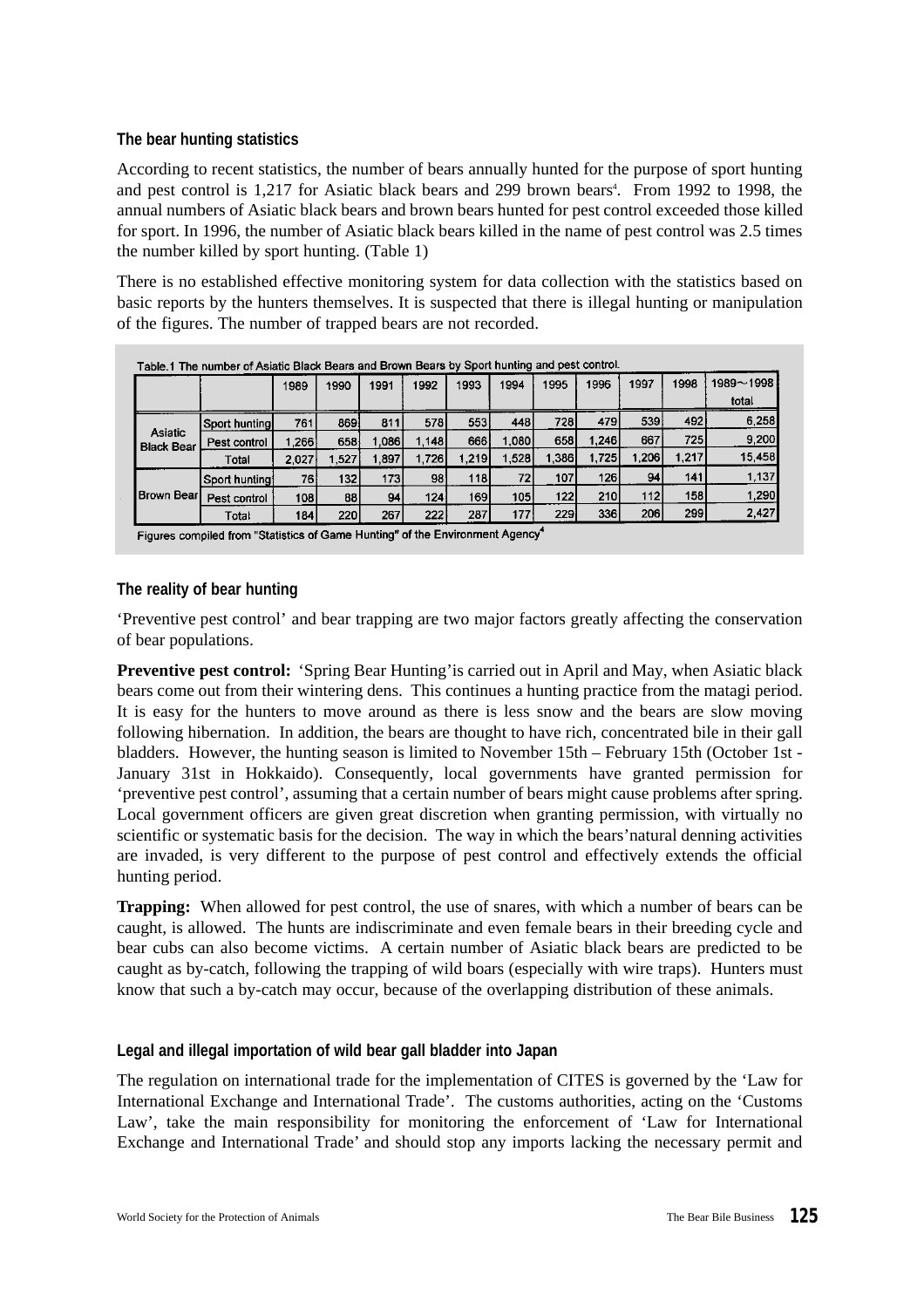# **The bear hunting statistics**

According to recent statistics, the number of bears annually hunted for the purpose of sport hunting and pest control is 1,217 for Asiatic black bears and 299 brown bears<sup>4</sup>. From 1992 to 1998, the annual numbers of Asiatic black bears and brown bears hunted for pest control exceeded those killed for sport. In 1996, the number of Asiatic black bears killed in the name of pest control was 2.5 times the number killed by sport hunting. (Table 1)

There is no established effective monitoring system for data collection with the statistics based on basic reports by the hunters themselves. It is suspected that there is illegal hunting or manipulation of the figures. The number of trapped bears are not recorded.

|                              |                | 1989   | 1990             | 1991             | 1992  | 1993  | 1994  | 1995   | 1996       | 1997             | 1998  | 1989~1998 |
|------------------------------|----------------|--------|------------------|------------------|-------|-------|-------|--------|------------|------------------|-------|-----------|
|                              |                |        |                  |                  |       |       |       |        |            |                  |       | total     |
| Asiatic<br><b>Black Bear</b> | Sport hunting  | 761    | 869              | 811              | 578   | 553   | 448   | 728I   | 479        | 539 <sup>1</sup> | 492   | 6.258     |
|                              | Pest control   | ∣.2661 | 658              | 1.0861           | 1.148 | 666   | 1,080 | 658    | 1,246      | 667              | 7251  | 9,200     |
|                              | Total          | 2.027  | .527             | 1,897            | 1,726 | 1.219 | 1,528 | l.386İ | 1,725      | 1,206            | 1,217 | 15,458    |
|                              | Sport hunting! | 76 I   | 132 <sub>1</sub> | 173 <sub>l</sub> | 98    | 118   | 72    | 107    | <b>126</b> | 94               | 141   | 1,137     |
| <b>Brown Bear</b>            | Pest control   | 108    | 88               | 94               | 124   | 169   | 105   | 122    | 210        | 112              | 158   | 1,290     |
|                              | Total          | 184    | 220              | 267              | 222   | 287   | 177   | 229    | 336        | 206              | 299   | 2,427     |

# **The reality of bear hunting**

'Preventive pest control' and bear trapping are two major factors greatly affecting the conservation of bear populations.

**Preventive pest control:** 'Spring Bear Hunting'is carried out in April and May, when Asiatic black bears come out from their wintering dens. This continues a hunting practice from the matagi period. It is easy for the hunters to move around as there is less snow and the bears are slow moving following hibernation. In addition, the bears are thought to have rich, concentrated bile in their gall bladders. However, the hunting season is limited to November 15th – February 15th (October 1st - January 31st in Hokkaido). Consequently, local governments have granted permission for 'preventive pest control', assuming that a certain number of bears might cause problems after spring. Local government officers are given great discretion when granting permission, with virtually no scientific or systematic basis for the decision. The way in which the bears'natural denning activities are invaded, is very different to the purpose of pest control and effectively extends the official hunting period.

**Trapping:** When allowed for pest control, the use of snares, with which a number of bears can be caught, is allowed. The hunts are indiscriminate and even female bears in their breeding cycle and bear cubs can also become victims. A certain number of Asiatic black bears are predicted to be caught as by-catch, following the trapping of wild boars (especially with wire traps). Hunters must know that such a by-catch may occur, because of the overlapping distribution of these animals.

## **Legal and illegal importation of wild bear gall bladder into Japan**

The regulation on international trade for the implementation of CITES is governed by the 'Law for International Exchange and International Trade'. The customs authorities, acting on the 'Customs Law', take the main responsibility for monitoring the enforcement of 'Law for International Exchange and International Trade' and should stop any imports lacking the necessary permit and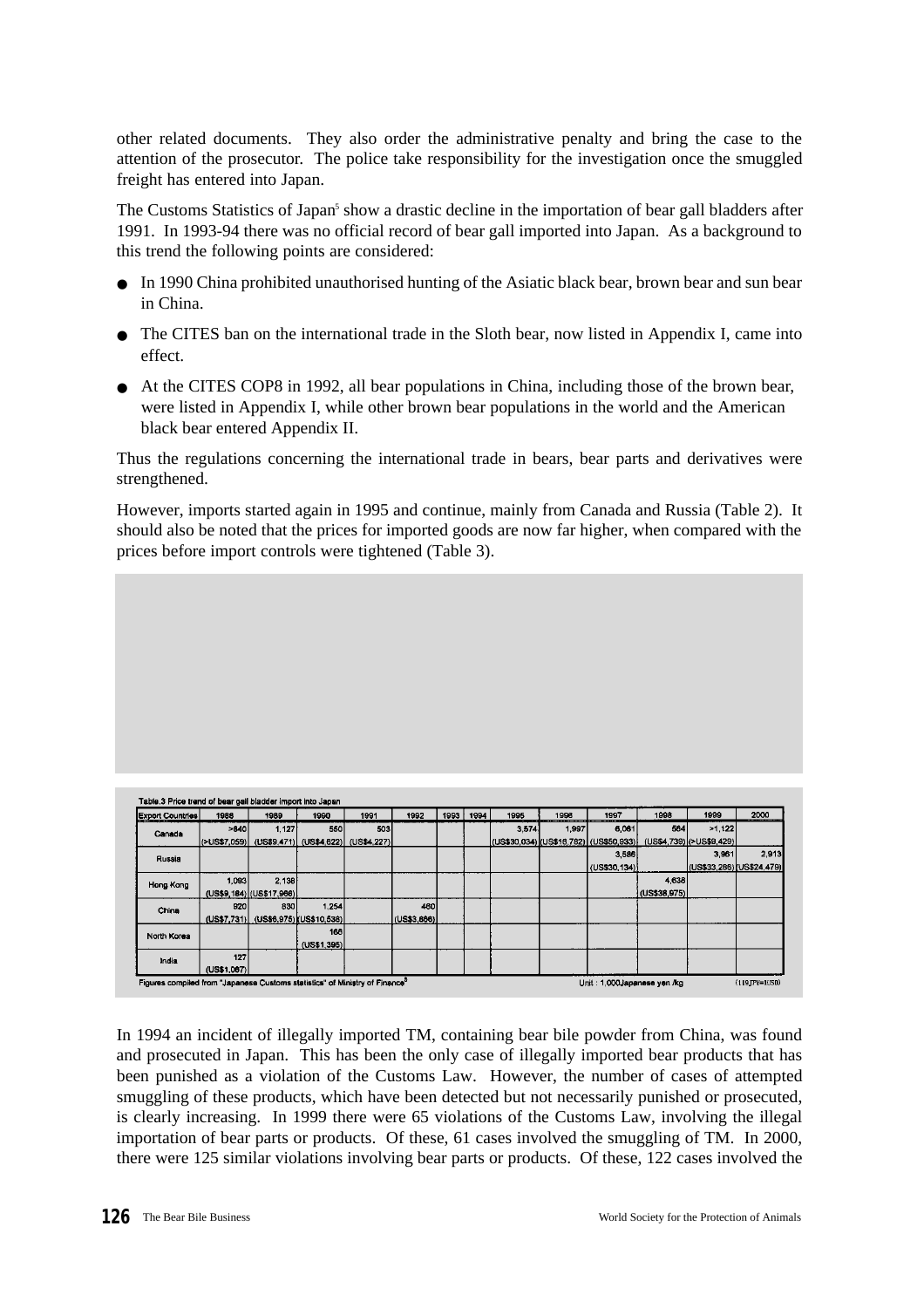other related documents. They also order the administrative penalty and bring the case to the attention of the prosecutor. The police take responsibility for the investigation once the smuggled freight has entered into Japan.

The Customs Statistics of Japan<sup>5</sup> show a drastic decline in the importation of bear gall bladders after 1991. In 1993-94 there was no official record of bear gall imported into Japan. As a background to this trend the following points are considered:

- In 1990 China prohibited unauthorised hunting of the Asiatic black bear, brown bear and sun bear in China.
- The CITES ban on the international trade in the Sloth bear, now listed in Appendix I, came into effect.
- At the CITES COP8 in 1992, all bear populations in China, including those of the brown bear, were listed in Appendix I, while other brown bear populations in the world and the American black bear entered Appendix II.

Thus the regulations concerning the international trade in bears, bear parts and derivatives were strengthened.

However, imports started again in 1995 and continue, mainly from Canada and Russia (Table 2). It should also be noted that the prices for imported goods are now far higher, when compared with the prices before import controls were tightened (Table 3).

| <b>Export Countries</b> | 1988                 | 1989                                 | 1990                    | 1991        | 1992        | 1993 | 1994 | 1995  | 1996  | 1997                                      | 1998         | 1999                      | 2000  |
|-------------------------|----------------------|--------------------------------------|-------------------------|-------------|-------------|------|------|-------|-------|-------------------------------------------|--------------|---------------------------|-------|
| Canada                  | >840                 | 1,127                                | 550                     | 503         |             |      |      | 3.574 | 1,997 | 5,061                                     | 564          | >1.122                    |       |
|                         | $ $ (>US\$7,059) $ $ |                                      | (US\$9,471) (US\$4,622) | (US\$4,227) |             |      |      |       |       | [(US\$30,034)](US\$16,782)] (US\$50,933)] |              | (US\$4,739)(>US\$9,429)   |       |
| Russia                  |                      |                                      |                         |             |             |      |      |       |       | 3,586                                     |              | 3,961                     | 2,913 |
|                         |                      |                                      |                         |             |             |      |      |       |       | (US\$30.134)                              |              | (US\$33,286) [US\$24,479) |       |
| Hong Kong               | 1.093                | 2.138                                |                         |             |             |      |      |       |       |                                           | 4,638        |                           |       |
|                         |                      | (US\$9,184) (US\$17,966)             |                         |             |             |      |      |       |       |                                           | (US\$38,975) |                           |       |
| China                   | 920                  | 830                                  | 1,254                   |             | 460         |      |      |       |       |                                           |              |                           |       |
|                         |                      | (US\$7,731) (US\$6,975) (US\$10,538) |                         |             | (US\$3,866) |      |      |       |       |                                           |              |                           |       |
| North Korea             |                      |                                      | 166                     |             |             |      |      |       |       |                                           |              |                           |       |
|                         |                      |                                      | (US\$1,395)             |             |             |      |      |       |       |                                           |              |                           |       |
| India                   | 127                  |                                      |                         |             |             |      |      |       |       |                                           |              |                           |       |
|                         | (US\$1.067)          |                                      |                         |             |             |      |      |       |       |                                           |              |                           |       |

In 1994 an incident of illegally imported TM, containing bear bile powder from China, was found and prosecuted in Japan. This has been the only case of illegally imported bear products that has been punished as a violation of the Customs Law. However, the number of cases of attempted smuggling of these products, which have been detected but not necessarily punished or prosecuted, is clearly increasing. In 1999 there were 65 violations of the Customs Law, involving the illegal importation of bear parts or products. Of these, 61 cases involved the smuggling of TM. In 2000, there were 125 similar violations involving bear parts or products. Of these, 122 cases involved the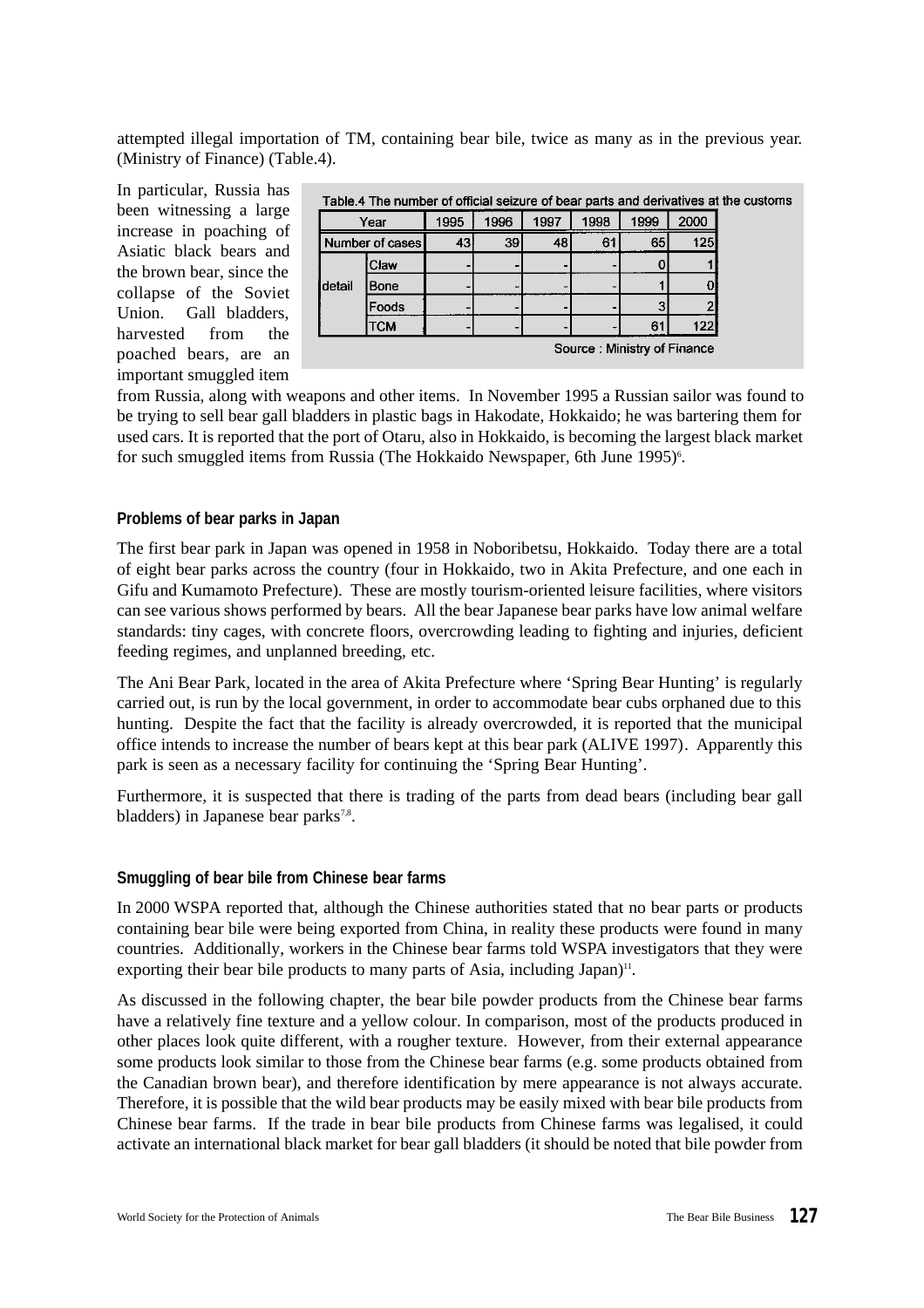attempted illegal importation of TM, containing bear bile, twice as many as in the previous year. (Ministry of Finance) (Table.4).

In particular, Russia has been witnessing a large increase in poaching of Asiatic black bears and the brown bear, since the collapse of the Soviet Union. Gall bladders, harvested from the poached bears, are an important smuggled item

|                 | Table.4 The number of official seizure of bear parts and derivatives at the customs |    |      |      |      |      |      |  |  |  |  |  |  |
|-----------------|-------------------------------------------------------------------------------------|----|------|------|------|------|------|--|--|--|--|--|--|
|                 | Year                                                                                |    | 1996 | 1997 | 1998 | 1999 | 2000 |  |  |  |  |  |  |
| Number of cases |                                                                                     | 43 | 39   | 48   | 61   | 65   | 125  |  |  |  |  |  |  |
|                 | [Claw                                                                               |    |      |      |      |      |      |  |  |  |  |  |  |
| <b>i</b> detail | Bone                                                                                |    |      |      |      |      |      |  |  |  |  |  |  |
|                 | <b>Foods</b>                                                                        |    |      |      |      |      |      |  |  |  |  |  |  |
|                 | <b>TCM</b>                                                                          |    |      |      |      | 61   | 122  |  |  |  |  |  |  |
|                 | Source: Ministry of Finance                                                         |    |      |      |      |      |      |  |  |  |  |  |  |

from Russia, along with weapons and other items. In November 1995 a Russian sailor was found to be trying to sell bear gall bladders in plastic bags in Hakodate, Hokkaido; he was bartering them for used cars. It is reported that the port of Otaru, also in Hokkaido, is becoming the largest black market for such smuggled items from Russia (The Hokkaido Newspaper, 6th June 1995)<sup>6</sup>.

## **Problems of bear parks in Japan**

The first bear park in Japan was opened in 1958 in Noboribetsu, Hokkaido. Today there are a total of eight bear parks across the country (four in Hokkaido, two in Akita Prefecture, and one each in Gifu and Kumamoto Prefecture). These are mostly tourism-oriented leisure facilities, where visitors can see various shows performed by bears. All the bear Japanese bear parks have low animal welfare standards: tiny cages, with concrete floors, overcrowding leading to fighting and injuries, deficient feeding regimes, and unplanned breeding, etc.

The Ani Bear Park, located in the area of Akita Prefecture where 'Spring Bear Hunting' is regularly carried out, is run by the local government, in order to accommodate bear cubs orphaned due to this hunting. Despite the fact that the facility is already overcrowded, it is reported that the municipal office intends to increase the number of bears kept at this bear park (ALIVE 1997). Apparently this park is seen as a necessary facility for continuing the 'Spring Bear Hunting'.

Furthermore, it is suspected that there is trading of the parts from dead bears (including bear gall bladders) in Japanese bear parks<sup>7,8</sup>.

## **Smuggling of bear bile from Chinese bear farms**

In 2000 WSPA reported that, although the Chinese authorities stated that no bear parts or products containing bear bile were being exported from China, in reality these products were found in many countries. Additionally, workers in the Chinese bear farms told WSPA investigators that they were exporting their bear bile products to many parts of Asia, including Japan)<sup>11</sup>.

As discussed in the following chapter, the bear bile powder products from the Chinese bear farms have a relatively fine texture and a yellow colour. In comparison, most of the products produced in other places look quite different, with a rougher texture. However, from their external appearance some products look similar to those from the Chinese bear farms (e.g. some products obtained from the Canadian brown bear), and therefore identification by mere appearance is not always accurate. Therefore, it is possible that the wild bear products may be easily mixed with bear bile products from Chinese bear farms. If the trade in bear bile products from Chinese farms was legalised, it could activate an international black market for bear gall bladders (it should be noted that bile powder from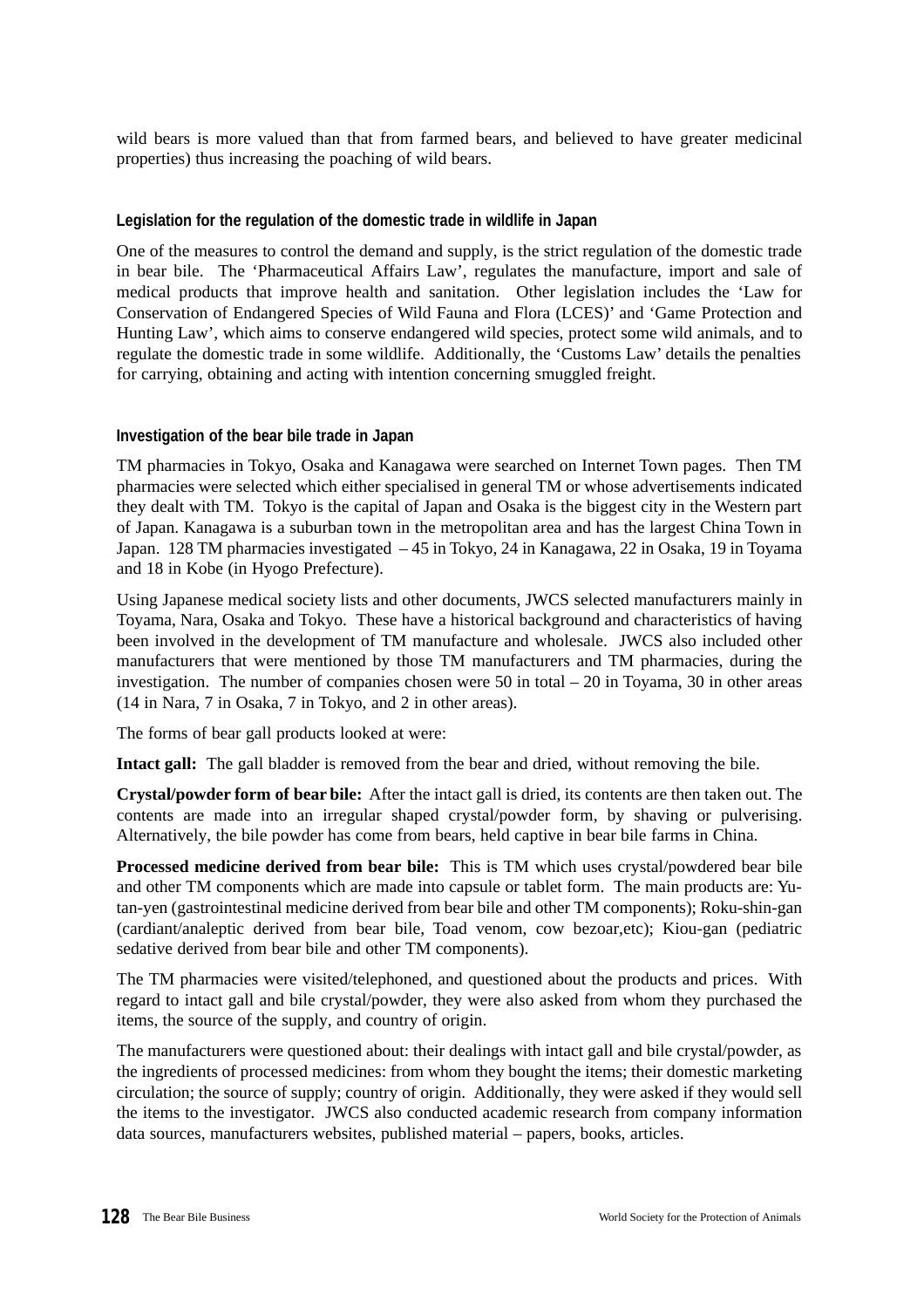wild bears is more valued than that from farmed bears, and believed to have greater medicinal properties) thus increasing the poaching of wild bears.

## **Legislation for the regulation of the domestic trade in wildlife in Japan**

One of the measures to control the demand and supply, is the strict regulation of the domestic trade in bear bile. The 'Pharmaceutical Affairs Law', regulates the manufacture, import and sale of medical products that improve health and sanitation. Other legislation includes the 'Law for Conservation of Endangered Species of Wild Fauna and Flora (LCES)' and 'Game Protection and Hunting Law', which aims to conserve endangered wild species, protect some wild animals, and to regulate the domestic trade in some wildlife. Additionally, the 'Customs Law' details the penalties for carrying, obtaining and acting with intention concerning smuggled freight.

#### **Investigation of the bear bile trade in Japan**

TM pharmacies in Tokyo, Osaka and Kanagawa were searched on Internet Town pages. Then TM pharmacies were selected which either specialised in general TM or whose advertisements indicated they dealt with TM. Tokyo is the capital of Japan and Osaka is the biggest city in the Western part of Japan. Kanagawa is a suburban town in the metropolitan area and has the largest China Town in Japan. 128 TM pharmacies investigated – 45 in Tokyo, 24 in Kanagawa, 22 in Osaka, 19 in Toyama and 18 in Kobe (in Hyogo Prefecture).

Using Japanese medical society lists and other documents, JWCS selected manufacturers mainly in Toyama, Nara, Osaka and Tokyo. These have a historical background and characteristics of having been involved in the development of TM manufacture and wholesale. JWCS also included other manufacturers that were mentioned by those TM manufacturers and TM pharmacies, during the investigation. The number of companies chosen were 50 in total  $-20$  in Toyama, 30 in other areas (14 in Nara, 7 in Osaka, 7 in Tokyo, and 2 in other areas).

The forms of bear gall products looked at were:

**Intact gall:** The gall bladder is removed from the bear and dried, without removing the bile.

**Crystal/powder form of bear bile:** After the intact gall is dried, its contents are then taken out. The contents are made into an irregular shaped crystal/powder form, by shaving or pulverising. Alternatively, the bile powder has come from bears, held captive in bear bile farms in China.

**Processed medicine derived from bear bile:** This is TM which uses crystal/powdered bear bile and other TM components which are made into capsule or tablet form. The main products are: Yutan-yen (gastrointestinal medicine derived from bear bile and other TM components); Roku-shin-gan (cardiant/analeptic derived from bear bile, Toad venom, cow bezoar,etc); Kiou-gan (pediatric sedative derived from bear bile and other TM components).

The TM pharmacies were visited/telephoned, and questioned about the products and prices. With regard to intact gall and bile crystal/powder, they were also asked from whom they purchased the items, the source of the supply, and country of origin.

The manufacturers were questioned about: their dealings with intact gall and bile crystal/powder, as the ingredients of processed medicines: from whom they bought the items; their domestic marketing circulation; the source of supply; country of origin. Additionally, they were asked if they would sell the items to the investigator. JWCS also conducted academic research from company information data sources, manufacturers websites, published material – papers, books, articles.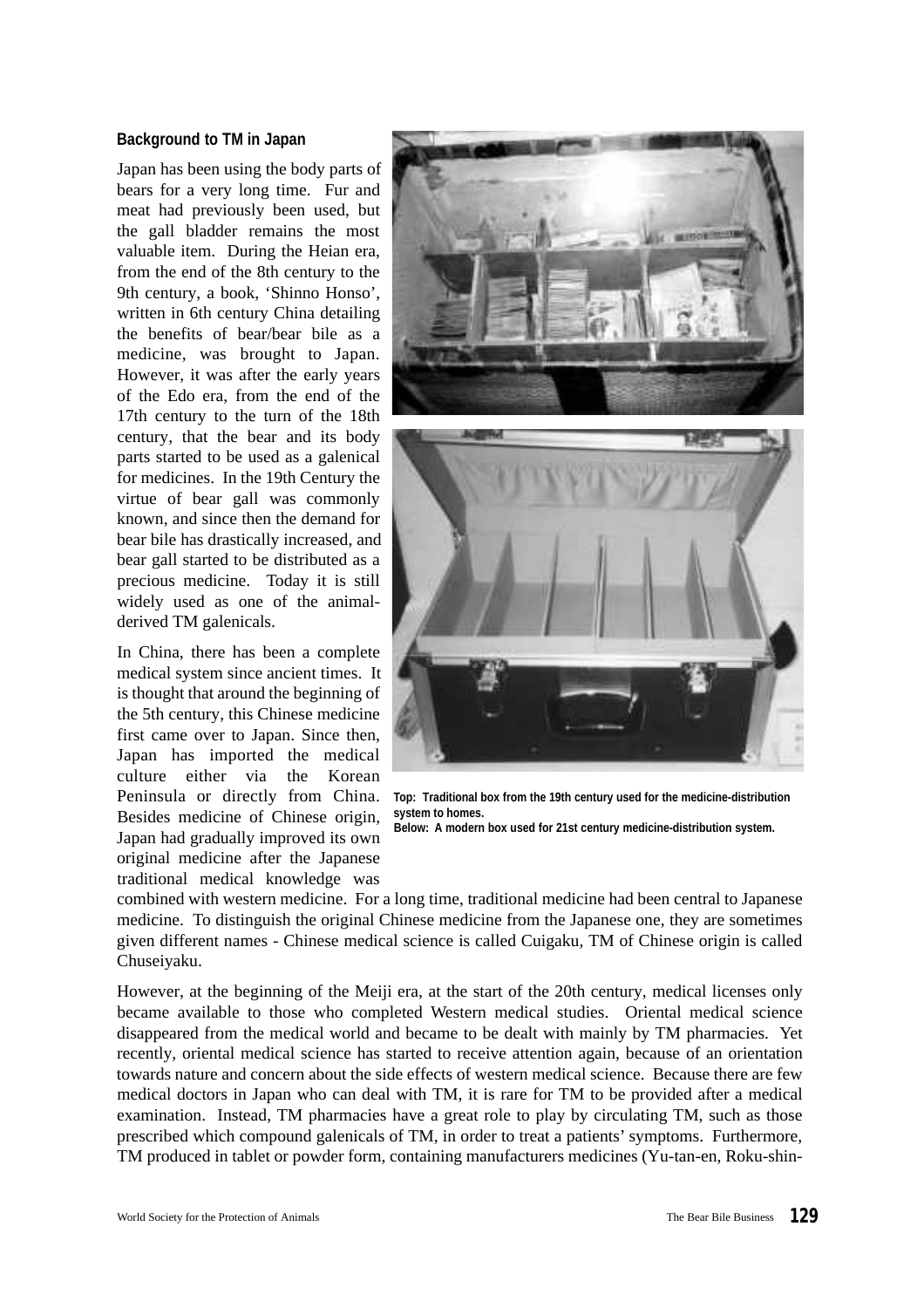## **Background to TM in Japan**

Japan has been using the body parts of bears for a very long time. Fur and meat had previously been used, but the gall bladder remains the most valuable item. During the Heian era, from the end of the 8th century to the 9th century, a book, 'Shinno Honso', written in 6th century China detailing the benefits of bear/bear bile as a medicine, was brought to Japan. However, it was after the early years of the Edo era, from the end of the 17th century to the turn of the 18th century, that the bear and its body parts started to be used as a galenical for medicines. In the 19th Century the virtue of bear gall was commonly known, and since then the demand for bear bile has drastically increased, and bear gall started to be distributed as a precious medicine. Today it is still widely used as one of the animalderived TM galenicals.

In China, there has been a complete medical system since ancient times. It is thought that around the beginning of the 5th century, this Chinese medicine first came over to Japan. Since then, Japan has imported the medical culture either via the Korean Peninsula or directly from China. Besides medicine of Chinese origin, Japan had gradually improved its own original medicine after the Japanese traditional medical knowledge was





**Top: Traditional box from the 19th century used for the medicine-distribution system to homes. Below: A modern box used for 21st century medicine-distribution system.**

combined with western medicine. For a long time, traditional medicine had been central to Japanese medicine. To distinguish the original Chinese medicine from the Japanese one, they are sometimes given different names - Chinese medical science is called Cuigaku, TM of Chinese origin is called Chuseiyaku.

However, at the beginning of the Meiji era, at the start of the 20th century, medical licenses only became available to those who completed Western medical studies. Oriental medical science disappeared from the medical world and became to be dealt with mainly by TM pharmacies. Yet recently, oriental medical science has started to receive attention again, because of an orientation towards nature and concern about the side effects of western medical science. Because there are few medical doctors in Japan who can deal with TM, it is rare for TM to be provided after a medical examination. Instead, TM pharmacies have a great role to play by circulating TM, such as those prescribed which compound galenicals of TM, in order to treat a patients' symptoms. Furthermore, TM produced in tablet or powder form, containing manufacturers medicines (Yu-tan-en, Roku-shin-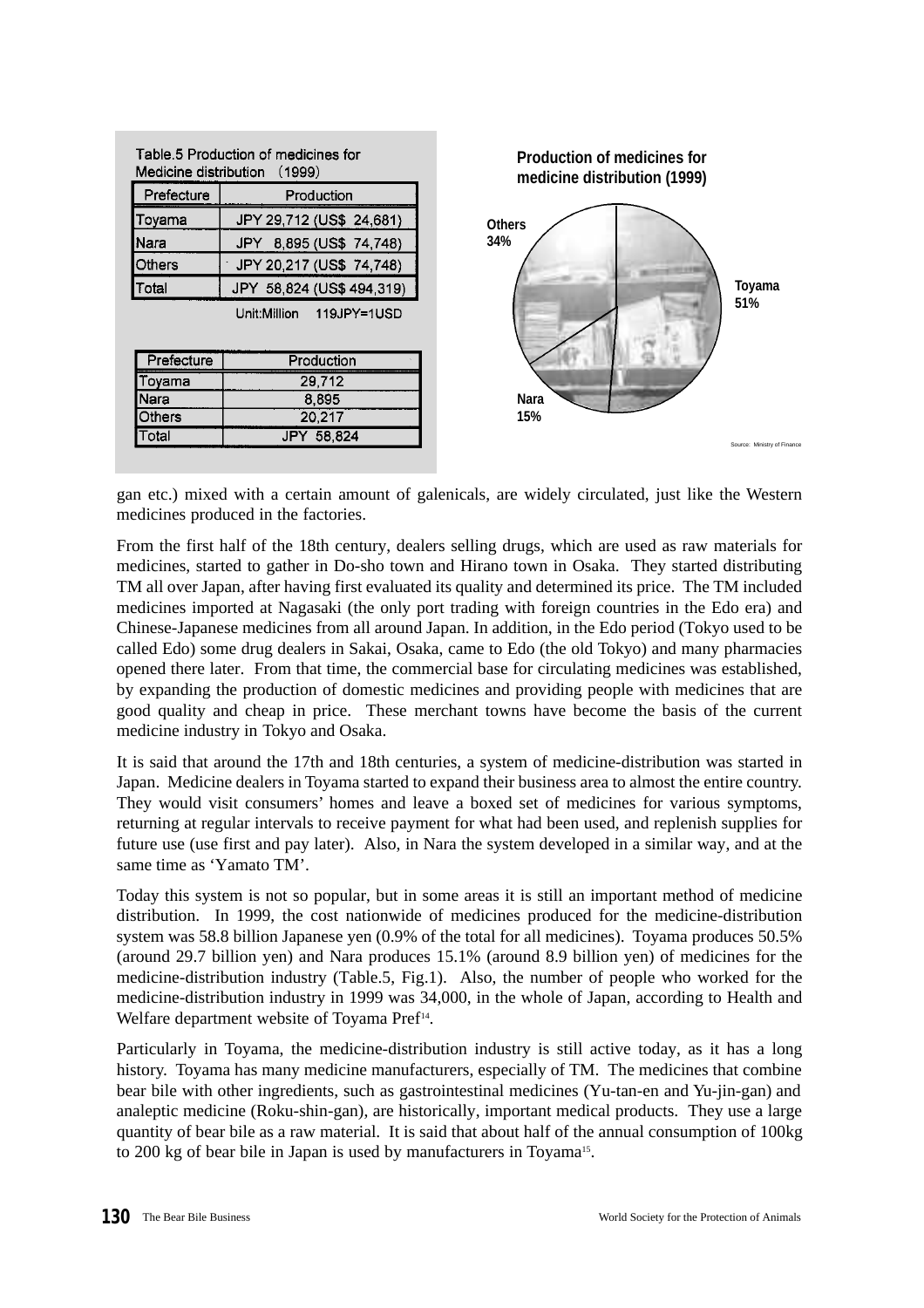|               | Table 5 Production of medicines for<br>Medicine distribution (1999) | <b>Production of medicines for</b><br>medicine distribution (1999) |        |
|---------------|---------------------------------------------------------------------|--------------------------------------------------------------------|--------|
| Prefecture    | Production                                                          |                                                                    |        |
| Toyama        | JPY 29,712 (US\$ 24,681)                                            | <b>Others</b>                                                      |        |
| <b>I</b> Nara | JPY 8,895 (US\$ 74,748)                                             | 34%                                                                |        |
| <b>Others</b> | JPY 20,217 (US\$ 74,748)                                            |                                                                    |        |
| Total         | JPY 58,824 (US\$ 494,319)                                           |                                                                    | Toyama |
|               | Unit:Million<br>119JPY=1USD                                         |                                                                    | 51%    |
| Prefecture    | Production                                                          |                                                                    |        |
| Toyama        | 29,712                                                              |                                                                    |        |
| Nara          | 8,895                                                               | Nara                                                               |        |
| Others        | 20,217                                                              | 15%                                                                |        |
| Total         | JPY 58,824                                                          |                                                                    |        |

gan etc.) mixed with a certain amount of galenicals, are widely circulated, just like the Western medicines produced in the factories.

From the first half of the 18th century, dealers selling drugs, which are used as raw materials for medicines, started to gather in Do-sho town and Hirano town in Osaka. They started distributing TM all over Japan, after having first evaluated its quality and determined its price. The TM included medicines imported at Nagasaki (the only port trading with foreign countries in the Edo era) and Chinese-Japanese medicines from all around Japan. In addition, in the Edo period (Tokyo used to be called Edo) some drug dealers in Sakai, Osaka, came to Edo (the old Tokyo) and many pharmacies opened there later. From that time, the commercial base for circulating medicines was established, by expanding the production of domestic medicines and providing people with medicines that are good quality and cheap in price. These merchant towns have become the basis of the current medicine industry in Tokyo and Osaka.

It is said that around the 17th and 18th centuries, a system of medicine-distribution was started in Japan. Medicine dealers in Toyama started to expand their business area to almost the entire country. They would visit consumers' homes and leave a boxed set of medicines for various symptoms, returning at regular intervals to receive payment for what had been used, and replenish supplies for future use (use first and pay later). Also, in Nara the system developed in a similar way, and at the same time as 'Yamato TM'.

Today this system is not so popular, but in some areas it is still an important method of medicine distribution. In 1999, the cost nationwide of medicines produced for the medicine-distribution system was 58.8 billion Japanese yen (0.9% of the total for all medicines). Toyama produces 50.5% (around 29.7 billion yen) and Nara produces 15.1% (around 8.9 billion yen) of medicines for the medicine-distribution industry (Table.5, Fig.1). Also, the number of people who worked for the medicine-distribution industry in 1999 was 34,000, in the whole of Japan, according to Health and Welfare department website of Toyama Pref<sup>14</sup>.

Particularly in Toyama, the medicine-distribution industry is still active today, as it has a long history. Toyama has many medicine manufacturers, especially of TM. The medicines that combine bear bile with other ingredients, such as gastrointestinal medicines (Yu-tan-en and Yu-jin-gan) and analeptic medicine (Roku-shin-gan), are historically, important medical products. They use a large quantity of bear bile as a raw material. It is said that about half of the annual consumption of 100kg to 200 kg of bear bile in Japan is used by manufacturers in Toyama<sup>15</sup>.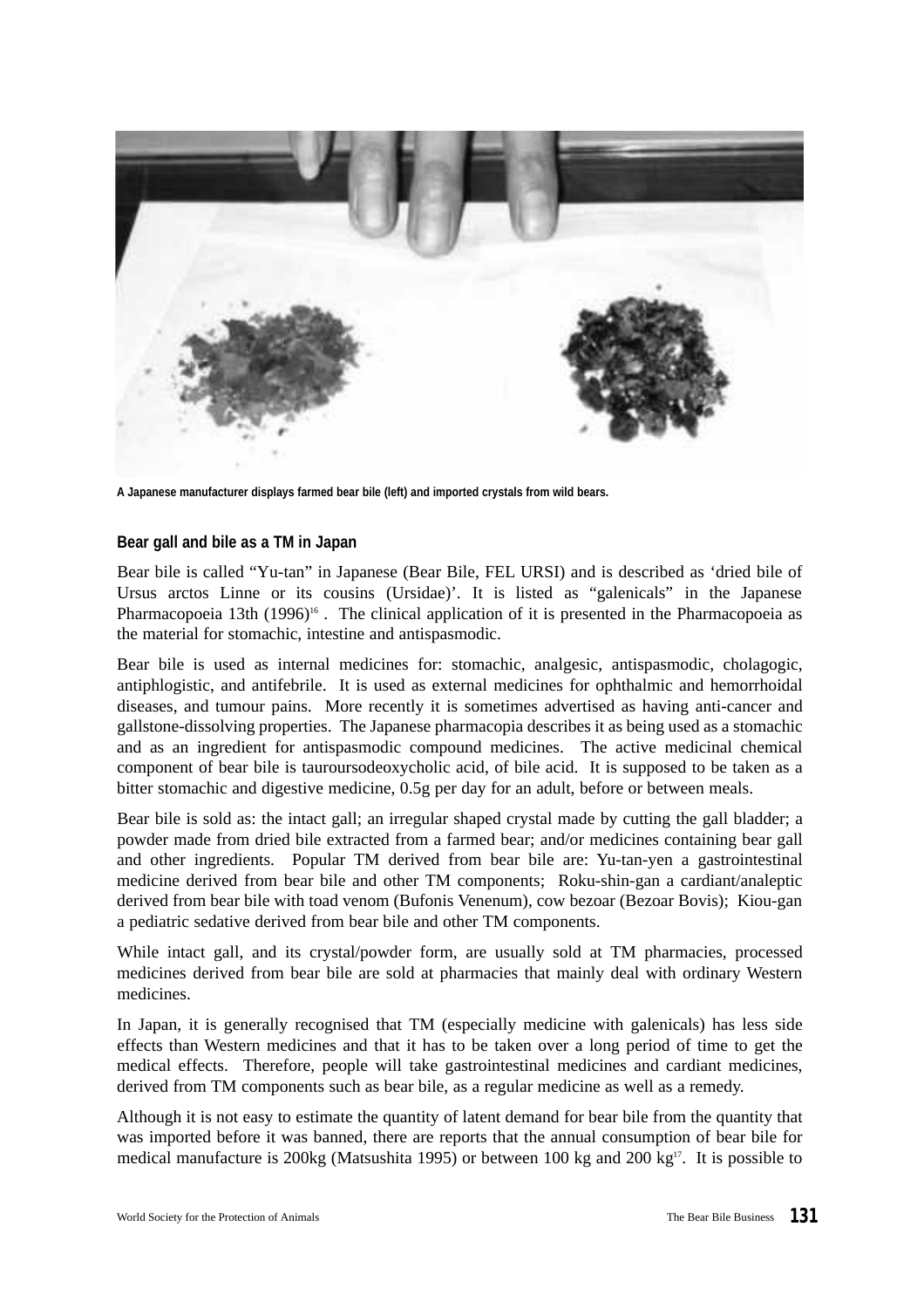

**A Japanese manufacturer displays farmed bear bile (left) and imported crystals from wild bears.**

#### **Bear gall and bile as a TM in Japan**

Bear bile is called "Yu-tan" in Japanese (Bear Bile, FEL URSI) and is described as 'dried bile of Ursus arctos Linne or its cousins (Ursidae)'. It is listed as "galenicals" in the Japanese Pharmacopoeia 13th (1996)<sup>16</sup>. The clinical application of it is presented in the Pharmacopoeia as the material for stomachic, intestine and antispasmodic.

Bear bile is used as internal medicines for: stomachic, analgesic, antispasmodic, cholagogic, antiphlogistic, and antifebrile. It is used as external medicines for ophthalmic and hemorrhoidal diseases, and tumour pains. More recently it is sometimes advertised as having anti-cancer and gallstone-dissolving properties. The Japanese pharmacopia describes it as being used as a stomachic and as an ingredient for antispasmodic compound medicines. The active medicinal chemical component of bear bile is tauroursodeoxycholic acid, of bile acid. It is supposed to be taken as a bitter stomachic and digestive medicine, 0.5g per day for an adult, before or between meals.

Bear bile is sold as: the intact gall; an irregular shaped crystal made by cutting the gall bladder; a powder made from dried bile extracted from a farmed bear; and/or medicines containing bear gall and other ingredients. Popular TM derived from bear bile are: Yu-tan-yen a gastrointestinal medicine derived from bear bile and other TM components; Roku-shin-gan a cardiant/analeptic derived from bear bile with toad venom (Bufonis Venenum), cow bezoar (Bezoar Bovis); Kiou-gan a pediatric sedative derived from bear bile and other TM components.

While intact gall, and its crystal/powder form, are usually sold at TM pharmacies, processed medicines derived from bear bile are sold at pharmacies that mainly deal with ordinary Western medicines.

In Japan, it is generally recognised that TM (especially medicine with galenicals) has less side effects than Western medicines and that it has to be taken over a long period of time to get the medical effects. Therefore, people will take gastrointestinal medicines and cardiant medicines, derived from TM components such as bear bile, as a regular medicine as well as a remedy.

Although it is not easy to estimate the quantity of latent demand for bear bile from the quantity that was imported before it was banned, there are reports that the annual consumption of bear bile for medical manufacture is 200kg (Matsushita 1995) or between 100 kg and 200 kg<sup>17</sup>. It is possible to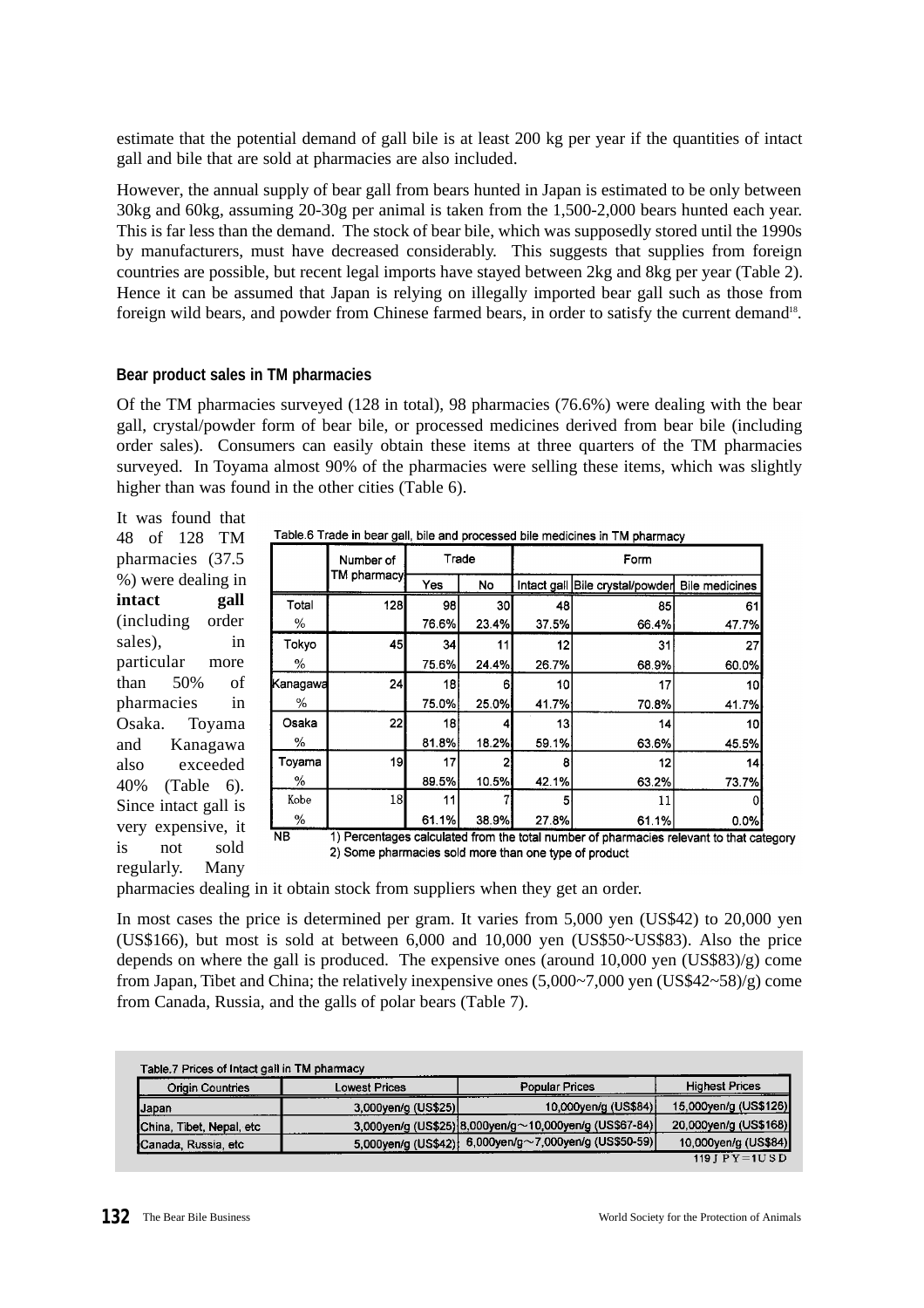estimate that the potential demand of gall bile is at least 200 kg per year if the quantities of intact gall and bile that are sold at pharmacies are also included.

However, the annual supply of bear gall from bears hunted in Japan is estimated to be only between 30kg and 60kg, assuming 20-30g per animal is taken from the 1,500-2,000 bears hunted each year. This is far less than the demand. The stock of bear bile, which was supposedly stored until the 1990s by manufacturers, must have decreased considerably. This suggests that supplies from foreign countries are possible, but recent legal imports have stayed between 2kg and 8kg per year (Table 2). Hence it can be assumed that Japan is relying on illegally imported bear gall such as those from foreign wild bears, and powder from Chinese farmed bears, in order to satisfy the current demand<sup>18</sup>.

# **Bear product sales in TM pharmacies**

Of the TM pharmacies surveyed (128 in total), 98 pharmacies (76.6%) were dealing with the bear gall, crystal/powder form of bear bile, or processed medicines derived from bear bile (including order sales). Consumers can easily obtain these items at three quarters of the TM pharmacies surveyed. In Toyama almost 90% of the pharmacies were selling these items, which was slightly higher than was found in the other cities (Table 6).

It was found that 48 of 128 TM pharmacies (37.5 %) were dealing in **intact gall** (including order sales), in particular more than 50% of pharmacies in Osaka. Tovama and Kanagawa also exceeded 40% (Table 6). Since intact gall is very expensive, it is not sold regularly. Many

|          |                                                       |        |       |        | Table 6 Trade in bear gall, bile and processed bile medicines in TM pharmacy            |                 |  |  |  |  |
|----------|-------------------------------------------------------|--------|-------|--------|-----------------------------------------------------------------------------------------|-----------------|--|--|--|--|
|          | Number of                                             |        | Trade | Form   |                                                                                         |                 |  |  |  |  |
|          | TM pharmacy                                           | Yes    | No    |        | Intact gall Bile crystal/powder Bile medicines                                          |                 |  |  |  |  |
| Total    | 128                                                   | 98     | 30    | 48     | 85                                                                                      | 61              |  |  |  |  |
| %        |                                                       | 76.6%  | 23.4% | 37.5%  | 66.4%                                                                                   | 47.7%           |  |  |  |  |
| Tokyo    | 45                                                    | 34     | 11    | 12     | 31                                                                                      | 27              |  |  |  |  |
| %        |                                                       | 75.6%  | 24.4% | 26.7%  | 68.9%                                                                                   | 60.0%           |  |  |  |  |
| Kanagawa | 24                                                    | 18     | 6     | 10     | 17                                                                                      | 10              |  |  |  |  |
| %        |                                                       | 75.0%  | 25.0% | 41.7%  | 70.8%                                                                                   | 41.7%           |  |  |  |  |
| Osaka    | 221                                                   | 181    |       | 13     | 14                                                                                      | 10 <sup>1</sup> |  |  |  |  |
| ℅        |                                                       | 81.8%  | 18.2% | 59.1%  | 63.6%                                                                                   | 45.5%           |  |  |  |  |
| Toyama   | 19                                                    | 17     |       | 8      | 12                                                                                      | 4               |  |  |  |  |
| %        |                                                       | 89.5%  | 10.5% | 42.1%  | 63.2%                                                                                   | 73.7%           |  |  |  |  |
| Kobe     | 18                                                    | 11     |       | 5      | 11                                                                                      |                 |  |  |  |  |
| %        |                                                       | 61.1%l | 38.9% | 27.8%l | 61.1%                                                                                   | 0.0%            |  |  |  |  |
| NB.      |                                                       |        |       |        | 1) Percentages calculated from the total number of pharmacies relevant to that category |                 |  |  |  |  |
|          | 2) Some pharmacies sold more than one type of product |        |       |        |                                                                                         |                 |  |  |  |  |

pharmacies dealing in it obtain stock from suppliers when they get an order.

In most cases the price is determined per gram. It varies from 5,000 yen (US\$42) to 20,000 yen (US\$166), but most is sold at between 6,000 and 10,000 yen (US\$50~US\$83). Also the price depends on where the gall is produced. The expensive ones (around 10,000 yen (US\$83)/g) come from Japan, Tibet and China; the relatively inexpensive ones (5,000~7,000 yen (US\$42~58)/g) come from Canada, Russia, and the galls of polar bears (Table 7).

| Table.7 Prices of Intact gall in TM pharmacy |                      |                                                          |                           |
|----------------------------------------------|----------------------|----------------------------------------------------------|---------------------------|
| <b>Origin Countries</b>                      | <b>Lowest Prices</b> | Popular Prices                                           | <b>Highest Prices</b>     |
| Japan                                        | 3,000yen/g (US\$25)  | 10,000yen/g (US\$84)                                     | 15,000yen/g (US\$126)     |
| China, Tibet, Nepal, etc.                    |                      | 3,000yen/g (US\$25) 8,000yen/g ~ 10,000yen/g (US\$67-84) | 20,000yen/g (US\$168)     |
| Canada, Russia, etc.                         |                      | 5,000yen/g (US\$42) 6,000yen/g~7,000yen/g (US\$50-59)    | 10,000yen/g (US\$84)      |
|                                              |                      |                                                          | 119 I $P$ $V = 1$ I $S$ D |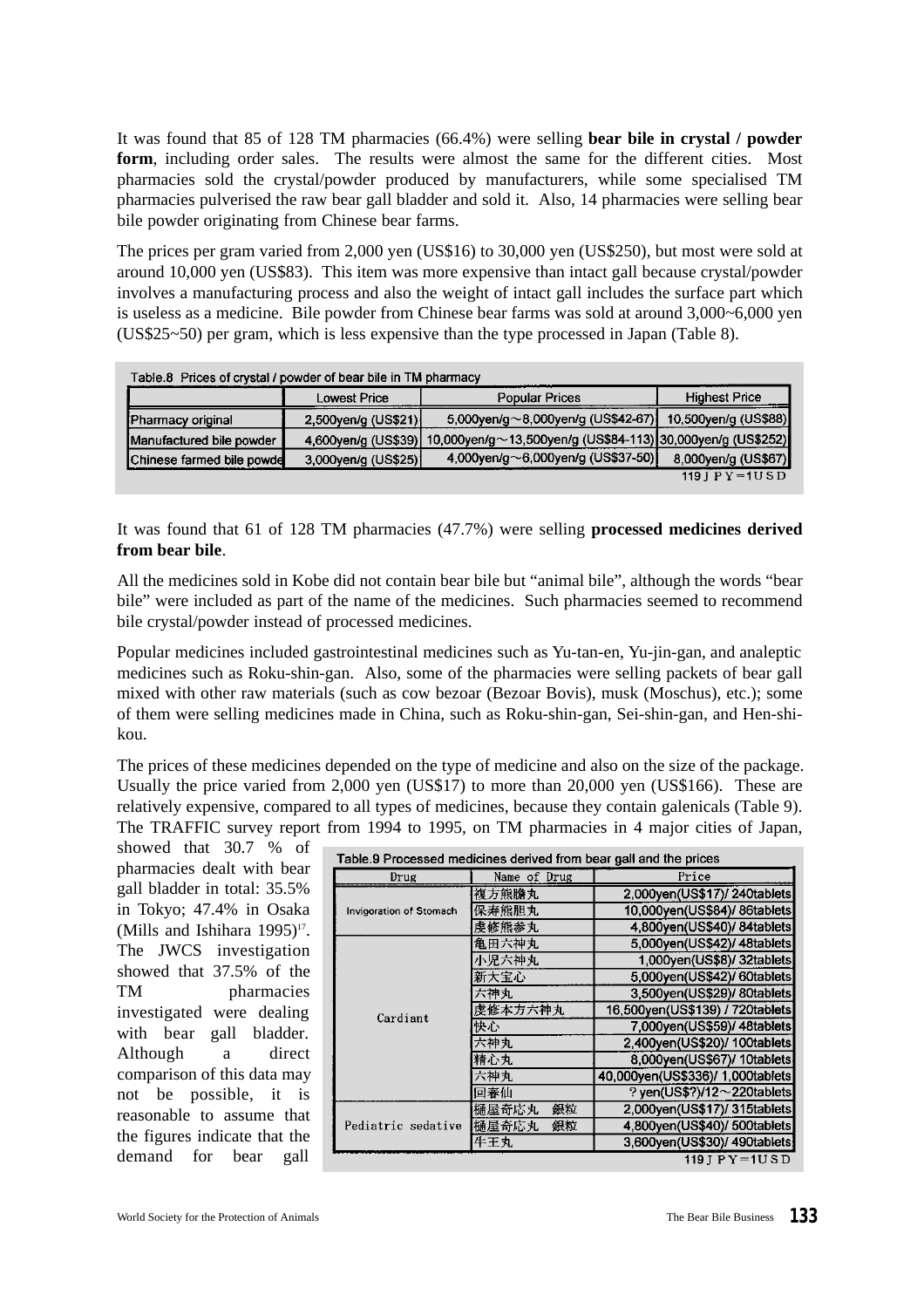It was found that 85 of 128 TM pharmacies (66.4%) were selling **bear bile in crystal / powder** form, including order sales. The results were almost the same for the different cities. Most pharmacies sold the crystal/powder produced by manufacturers, while some specialised TM pharmacies pulverised the raw bear gall bladder and sold it. Also, 14 pharmacies were selling bear bile powder originating from Chinese bear farms.

The prices per gram varied from 2,000 yen (US\$16) to 30,000 yen (US\$250), but most were sold at around 10,000 yen (US\$83). This item was more expensive than intact gall because crystal/powder involves a manufacturing process and also the weight of intact gall includes the surface part which is useless as a medicine. Bile powder from Chinese bear farms was sold at around 3,000~6,000 yen (US\$25~50) per gram, which is less expensive than the type processed in Japan (Table 8).

| Table.8 Prices of crystal / powder of bear bile in TM pharmacy |                     |                                                                                  |                                    |
|----------------------------------------------------------------|---------------------|----------------------------------------------------------------------------------|------------------------------------|
|                                                                | Lowest Price        | <b>Popular Prices</b>                                                            | <b>Highest Price</b>               |
| Pharmacy original                                              | 2,500yen/g (US\$21) | 5,000yen/g $\sim$ 8,000yen/g (US\$42-67)                                         | 10,500yen/g (US\$88)               |
| Manufactured bile powder                                       |                     | 4,600yen/g (US\$39) 10,000yen/g ~ 13,500yen/g (US\$84-113) 30,000yen/g (US\$252) |                                    |
| Chinese farmed bile powde                                      | 3,000yen/g (US\$25) | 4,000yen/g $\sim$ 6,000yen/g (US\$37-50)                                         | 8,000yen/g (US\$67)                |
|                                                                |                     |                                                                                  | $119$ J P Y = $1 \overline{U}$ S D |

It was found that 61 of 128 TM pharmacies (47.7%) were selling **processed medicines derived from bear bile**.

All the medicines sold in Kobe did not contain bear bile but "animal bile", although the words "bear bile" were included as part of the name of the medicines. Such pharmacies seemed to recommend bile crystal/powder instead of processed medicines.

Popular medicines included gastrointestinal medicines such as Yu-tan-en, Yu-jin-gan, and analeptic medicines such as Roku-shin-gan. Also, some of the pharmacies were selling packets of bear gall mixed with other raw materials (such as cow bezoar (Bezoar Bovis), musk (Moschus), etc.); some of them were selling medicines made in China, such as Roku-shin-gan, Sei-shin-gan, and Hen-shikou.

The prices of these medicines depended on the type of medicine and also on the size of the package. Usually the price varied from 2,000 yen (US\$17) to more than 20,000 yen (US\$166). These are relatively expensive, compared to all types of medicines, because they contain galenicals (Table 9). The TRAFFIC survey report from 1994 to 1995, on TM pharmacies in 4 major cities of Japan,

showed that 30.7 % of pharmacies dealt with bear gall bladder in total: 35.5% in Tokyo; 47.4% in Osaka (Mills and Ishihara  $1995$ )<sup>17</sup>. The JWCS investigation showed that 37.5% of the TM pharmacies investigated were dealing with bear gall bladder. Although a direct comparison of this data may not be possible, it is reasonable to assume that the figures indicate that the demand for bear gall

| Table.9 Processed medicines derived from bear gall and the prices |              |                                   |
|-------------------------------------------------------------------|--------------|-----------------------------------|
| Drug                                                              | Name of Drug | Price                             |
|                                                                   | 複方熊膽丸        | 2,000yen(US\$17)/240tablets       |
| <b>Invigoration of Stomach</b>                                    | 保寿熊胆丸        | 10.000yen(US\$84)/ 86tablets      |
|                                                                   | 虔修熊参丸        | 4,800yen(US\$40)/ 84tablets       |
|                                                                   | 亀田六神丸        | 5,000yen(US\$42)/ 48tablets       |
|                                                                   | 小児六神丸        | 1,000yen(US\$8)/ 32tablets        |
|                                                                   | 新大宝心         | 5,000yen(US\$42)/ 60tablets       |
|                                                                   | 六神丸          | 3,500yen(US\$29)/ 80tablets       |
| Cardiant                                                          | 虔修本方六神丸      | 16,500yen(US\$139) / 720tablets   |
|                                                                   | 快心           | 7,000yen(US\$59)/ 48tablets       |
|                                                                   | 六神丸          | 2,400yen(US\$20)/ 100tablets      |
|                                                                   | 精心丸          | 8,000yen(US\$67)/ 10tablets       |
|                                                                   | 六神丸          | 40,000yen(US\$336)/ 1,000tablets  |
|                                                                   | 回春仙          | ? yen(US\$?)/12 $\sim$ 220tablets |
|                                                                   | 銀粒<br>樋屋奇応丸  | 2,000yen(US\$17)/ 315tablets      |
| Pediatric sedative                                                | 樋屋奇応丸<br>銀粒  | 4,800yen(US\$40)/ 500tablets      |
|                                                                   | 牛王丸          | 3,600yen(US\$30)/ 490tablets      |
|                                                                   |              | $119$ J P Y = $1U$ S D            |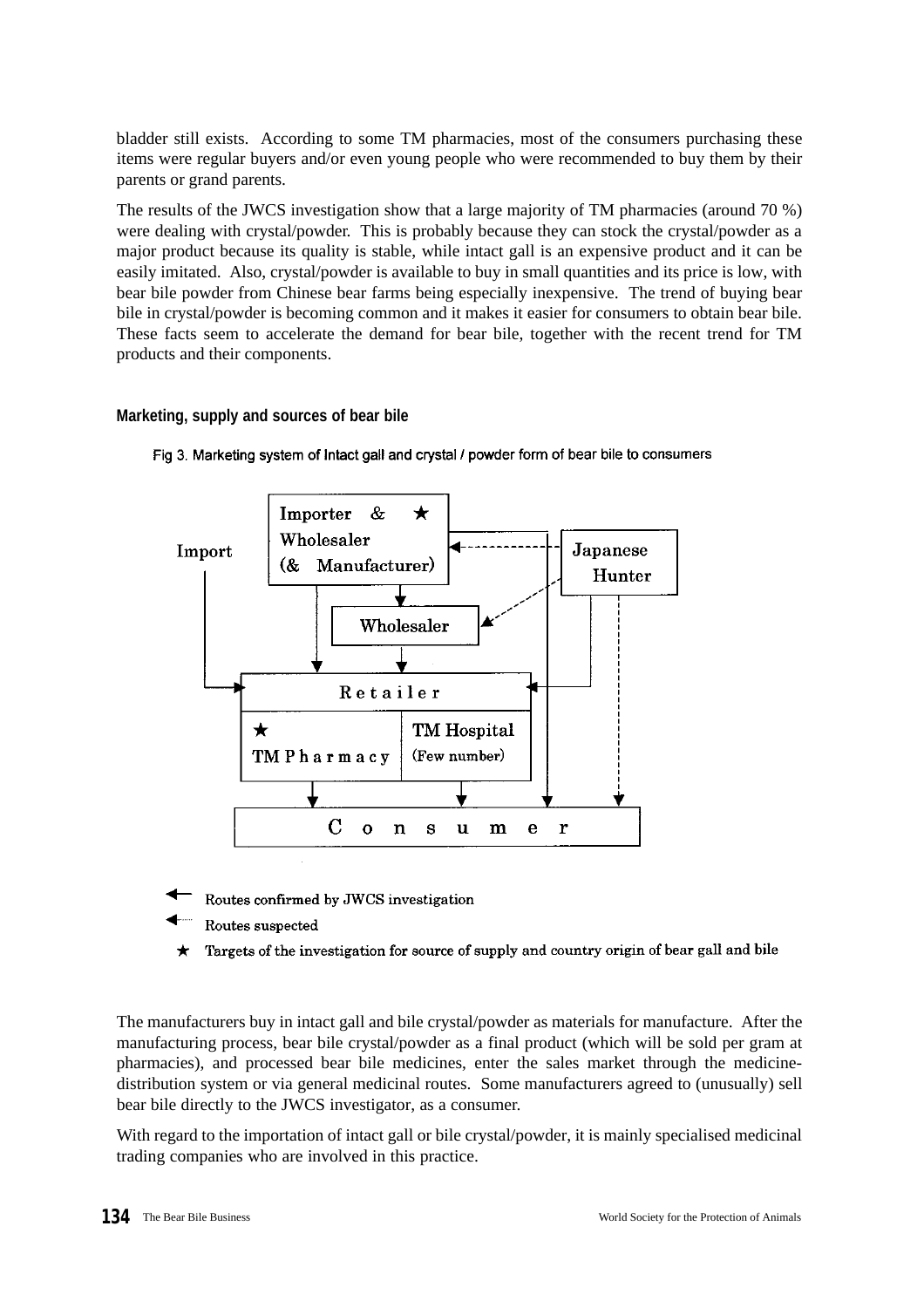bladder still exists. According to some TM pharmacies, most of the consumers purchasing these items were regular buyers and/or even young people who were recommended to buy them by their parents or grand parents.

The results of the JWCS investigation show that a large majority of TM pharmacies (around 70 %) were dealing with crystal/powder. This is probably because they can stock the crystal/powder as a major product because its quality is stable, while intact gall is an expensive product and it can be easily imitated. Also, crystal/powder is available to buy in small quantities and its price is low, with bear bile powder from Chinese bear farms being especially inexpensive. The trend of buying bear bile in crystal/powder is becoming common and it makes it easier for consumers to obtain bear bile. These facts seem to accelerate the demand for bear bile, together with the recent trend for TM products and their components.

## **Marketing, supply and sources of bear bile**



Fig 3. Marketing system of Intact gall and crystal / powder form of bear bile to consumers

- Routes confirmed by JWCS investigation
- Routes suspected
- Targets of the investigation for source of supply and country origin of bear gall and bile

The manufacturers buy in intact gall and bile crystal/powder as materials for manufacture. After the manufacturing process, bear bile crystal/powder as a final product (which will be sold per gram at pharmacies), and processed bear bile medicines, enter the sales market through the medicinedistribution system or via general medicinal routes. Some manufacturers agreed to (unusually) sell bear bile directly to the JWCS investigator, as a consumer.

With regard to the importation of intact gall or bile crystal/powder, it is mainly specialised medicinal trading companies who are involved in this practice.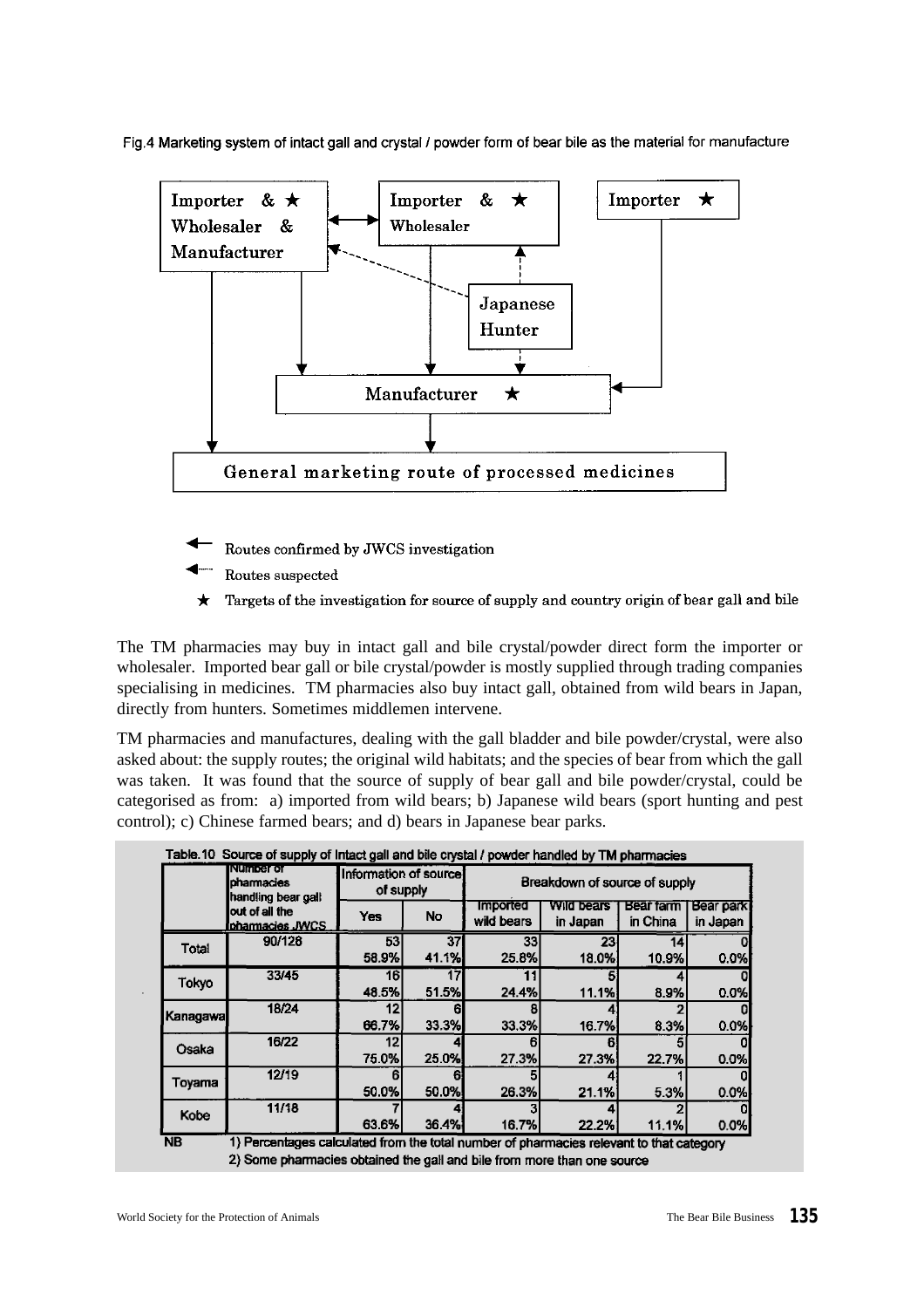Fig.4 Marketing system of intact gall and crystal / powder form of bear bile as the material for manufacture



- Routes confirmed by JWCS investigation
- Routes suspected
- Targets of the investigation for source of supply and country origin of bear gall and bile

The TM pharmacies may buy in intact gall and bile crystal/powder direct form the importer or wholesaler. Imported bear gall or bile crystal/powder is mostly supplied through trading companies specialising in medicines. TM pharmacies also buy intact gall, obtained from wild bears in Japan, directly from hunters. Sometimes middlemen intervene.

TM pharmacies and manufactures, dealing with the gall bladder and bile powder/crystal, were also asked about: the supply routes; the original wild habitats; and the species of bear from which the gall was taken. It was found that the source of supply of bear gall and bile powder/crystal, could be categorised as from: a) imported from wild bears; b) Japanese wild bears (sport hunting and pest control); c) Chinese farmed bears; and d) bears in Japanese bear parks.

|             | <b>Number of</b><br>pharmacies<br>handling bear gall | Information of source!<br>of supply |             |                               | Breakdown of source of supply |                       |                              |
|-------------|------------------------------------------------------|-------------------------------------|-------------|-------------------------------|-------------------------------|-----------------------|------------------------------|
|             | out of all the<br>Ionarmacies JWCS                   | Yes                                 | <b>No</b>   | <b>Imported</b><br>wild bears | Wild bears<br>in Japan        | Bear farm<br>in China | <b>Bear park</b><br>in Japan |
| Total       | 90/128                                               | 53<br>58.9%                         | 37<br>41.1% | 33<br>25.8%                   | 23<br>18.0%                   | 14<br>10.9%           | 0.0%                         |
| Tokyo       | 33/45                                                | 161<br>48.5%                        | 51.5%       | 24.4%                         | 11.1%                         | 8.9%                  | 0.0%                         |
| Kanagawal   | 18/24                                                | 12<br>66.7%                         | 33.3%       | 33.3%                         | 16.7%                         | 8.3%                  | 0.0%                         |
| Osaka       | 16/22                                                | 12<br>75.0%                         | 25.0%       | 27.3%                         | 27.3%                         | 22.7%                 | 0.0%                         |
| Toyama      | 12/19                                                | 6<br>50.0%                          | 50.0%       | 26.3%                         | 21.1%                         | 5.3%                  | 0.0%                         |
| <b>Kobe</b> | 11/18                                                | 63.6%                               | 36.4%       | 16.7%                         | 22.2%                         | 11 1%l                | 0.0%                         |

2) Some pharmacies obtained the gall and bile from more than one source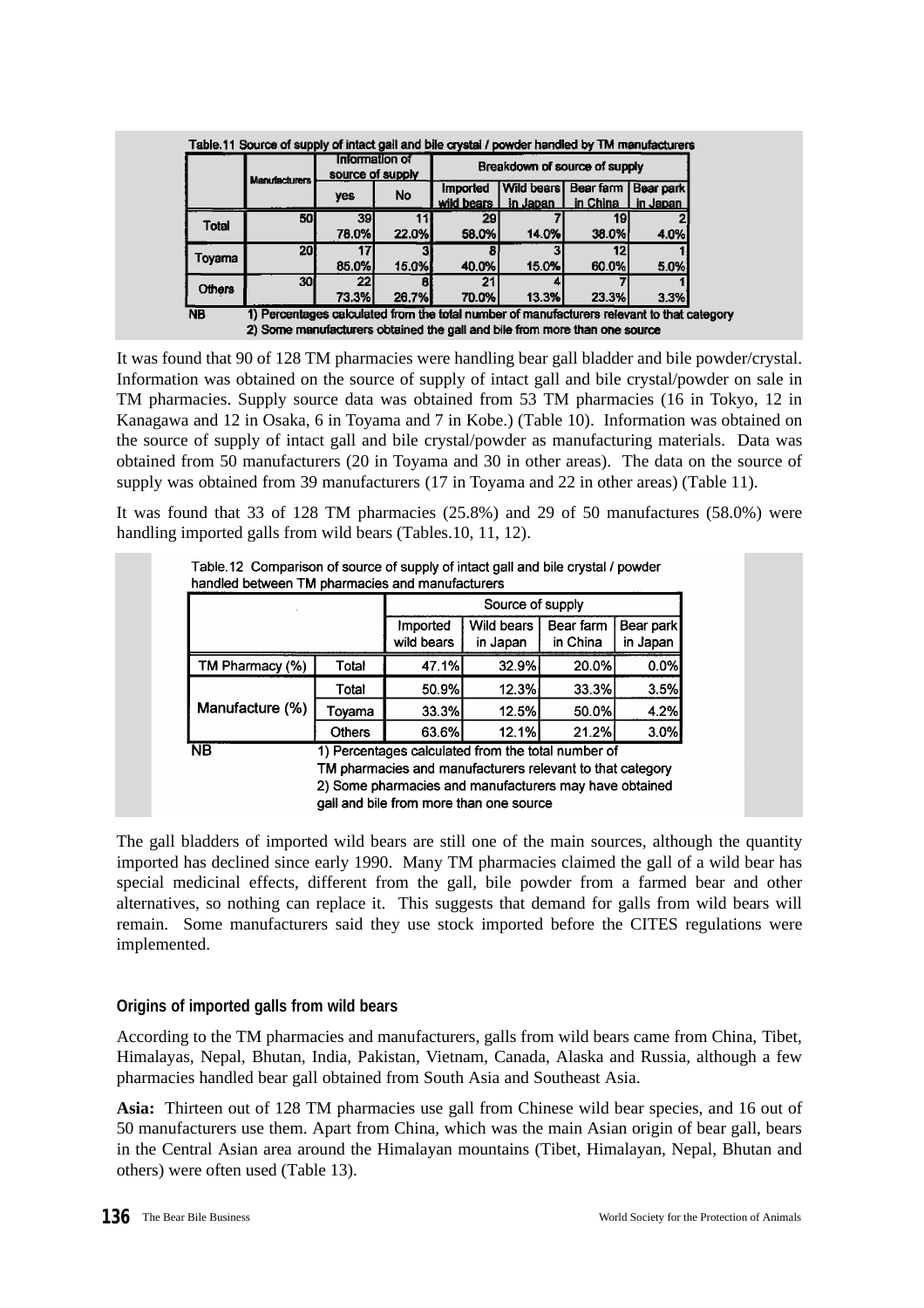|               | <b>Manufacturers</b> | Information of<br>source of supply |              | Breakdown of source of supply   |                                  |          |                       |  |  |  |
|---------------|----------------------|------------------------------------|--------------|---------------------------------|----------------------------------|----------|-----------------------|--|--|--|
|               |                      | yes                                | No           | <b>Imported</b><br>wild bears I | Wild bears Bear farm<br>in Japan | in China | Bear park<br>in Japan |  |  |  |
| Total         | 50 <sub>l</sub>      | 39                                 |              | 29                              |                                  | 19       |                       |  |  |  |
|               |                      | 78.0%                              | 22.0%        | 58.0%                           | 14.0%                            | 38.0%    | 4.0%                  |  |  |  |
|               | 20ł                  |                                    |              |                                 |                                  |          |                       |  |  |  |
| Toyama        |                      | 85.0%                              | 15.0%        | 40.0%                           | 15.0%                            | 60.0%    | 5.0%                  |  |  |  |
|               | 301                  | 22                                 |              | 21                              |                                  |          |                       |  |  |  |
| <b>Others</b> |                      | 73.3%                              | <b>26.7%</b> | 70.0%                           | 13.3%                            | 23.3%    | 3.3%                  |  |  |  |

It was found that 90 of 128 TM pharmacies were handling bear gall bladder and bile powder/crystal. Information was obtained on the source of supply of intact gall and bile crystal/powder on sale in TM pharmacies. Supply source data was obtained from 53 TM pharmacies (16 in Tokyo, 12 in Kanagawa and 12 in Osaka, 6 in Toyama and 7 in Kobe.) (Table 10). Information was obtained on the source of supply of intact gall and bile crystal/powder as manufacturing materials. Data was obtained from 50 manufacturers (20 in Toyama and 30 in other areas). The data on the source of supply was obtained from 39 manufacturers (17 in Toyama and 22 in other areas) (Table 11).

It was found that 33 of 128 TM pharmacies (25.8%) and 29 of 50 manufactures (58.0%) were handling imported galls from wild bears (Tables.10, 11, 12).

|                 |               |                                                                                                   | Source of supply |           |           |
|-----------------|---------------|---------------------------------------------------------------------------------------------------|------------------|-----------|-----------|
|                 |               | Imported                                                                                          | Wild bears       | Bear farm | Bear park |
|                 |               | wild bears                                                                                        | in Japan         | in China  | in Japan  |
| TM Pharmacy (%) | Total         | 47.1%                                                                                             | 32.9%            | 20.0%     | 0.0%      |
|                 | Total         | 50.9%                                                                                             | 12.3%            | 33.3%     | 3.5%      |
| Manufacture (%) | Toyama        | 33.3%                                                                                             | 12.5%l           | 50.0%     | 4.2%      |
|                 | <b>Others</b> | 63.6%                                                                                             | 12.1%            | 21.2%     | 3.0%      |
| <b>NB</b>       |               | 1) Percentages calculated from the total number of                                                |                  |           |           |
|                 |               | TM pharmacies and manufacturers relevant to that category                                         |                  |           |           |
|                 |               | 2) Some pharmacies and manufacturers may have obtained<br>gall and bile from more than one source |                  |           |           |

The gall bladders of imported wild bears are still one of the main sources, although the quantity imported has declined since early 1990. Many TM pharmacies claimed the gall of a wild bear has special medicinal effects, different from the gall, bile powder from a farmed bear and other alternatives, so nothing can replace it. This suggests that demand for galls from wild bears will remain. Some manufacturers said they use stock imported before the CITES regulations were implemented.

## **Origins of imported galls from wild bears**

According to the TM pharmacies and manufacturers, galls from wild bears came from China, Tibet, Himalayas, Nepal, Bhutan, India, Pakistan, Vietnam, Canada, Alaska and Russia, although a few pharmacies handled bear gall obtained from South Asia and Southeast Asia.

**Asia:** Thirteen out of 128 TM pharmacies use gall from Chinese wild bear species, and 16 out of 50 manufacturers use them. Apart from China, which was the main Asian origin of bear gall, bears in the Central Asian area around the Himalayan mountains (Tibet, Himalayan, Nepal, Bhutan and others) were often used (Table 13).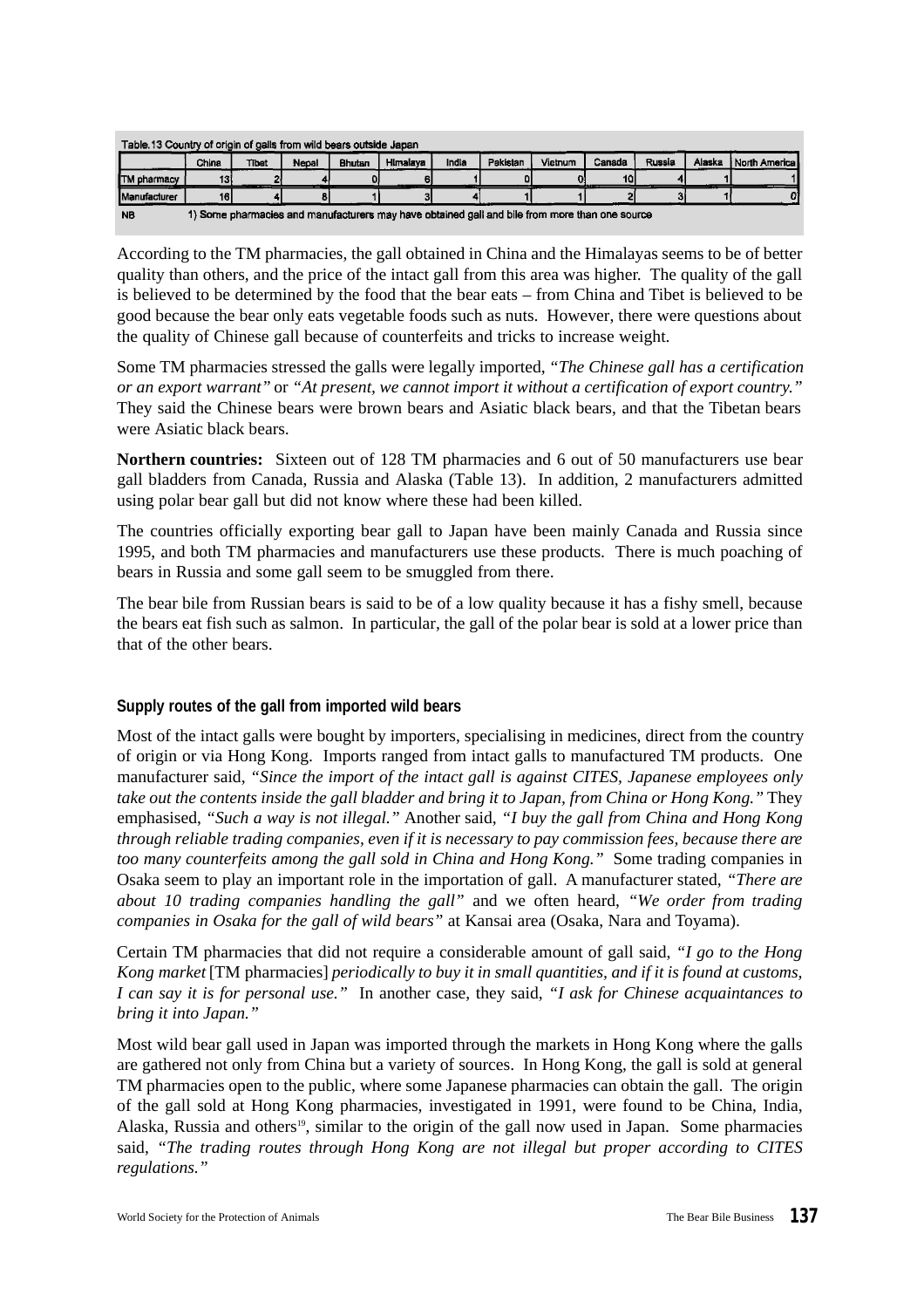|                     | Table 13 Country of origin of galls from wild bears outside Japan                              |       |       |        |          |       |          |         |                 |        |        |                   |  |
|---------------------|------------------------------------------------------------------------------------------------|-------|-------|--------|----------|-------|----------|---------|-----------------|--------|--------|-------------------|--|
|                     | China                                                                                          | Tibet | Nepal | Bhutan | Himalava | India | Pakistan | Vietnum | Canada          | Russia | Alaska | i North America I |  |
| <b>ITM</b> pharmacy | 131                                                                                            |       |       |        |          |       |          |         | 10 <sub>l</sub> |        |        |                   |  |
| <b>Manufacturer</b> | 161                                                                                            |       |       |        |          |       |          |         |                 |        |        |                   |  |
| <b>NB</b>           | 1) Some pharmacies and manufacturers may have obtained gall and bile from more than one source |       |       |        |          |       |          |         |                 |        |        |                   |  |

According to the TM pharmacies, the gall obtained in China and the Himalayas seems to be of better quality than others, and the price of the intact gall from this area was higher. The quality of the gall is believed to be determined by the food that the bear eats – from China and Tibet is believed to be good because the bear only eats vegetable foods such as nuts. However, there were questions about the quality of Chinese gall because of counterfeits and tricks to increase weight.

Some TM pharmacies stressed the galls were legally imported, *"The Chinese gall has a certification or an export warrant"* or *"At present, we cannot import it without a certification of export country."* They said the Chinese bears were brown bears and Asiatic black bears, and that the Tibetan bears were Asiatic black bears.

**Northern countries:** Sixteen out of 128 TM pharmacies and 6 out of 50 manufacturers use bear gall bladders from Canada, Russia and Alaska (Table 13). In addition, 2 manufacturers admitted using polar bear gall but did not know where these had been killed.

The countries officially exporting bear gall to Japan have been mainly Canada and Russia since 1995, and both TM pharmacies and manufacturers use these products. There is much poaching of bears in Russia and some gall seem to be smuggled from there.

The bear bile from Russian bears is said to be of a low quality because it has a fishy smell, because the bears eat fish such as salmon. In particular, the gall of the polar bear is sold at a lower price than that of the other bears.

## **Supply routes of the gall from imported wild bears**

Most of the intact galls were bought by importers, specialising in medicines, direct from the country of origin or via Hong Kong. Imports ranged from intact galls to manufactured TM products. One manufacturer said, *"Since the import of the intact gall is against CITES, Japanese employees only take out the contents inside the gall bladder and bring it to Japan, from China or Hong Kong."* They emphasised, *"Such a way is not illegal."* Another said, *"I buy the gall from China and Hong Kong through reliable trading companies, even if it is necessary to pay commission fees, because there are too many counterfeits among the gall sold in China and Hong Kong."* Some trading companies in Osaka seem to play an important role in the importation of gall. A manufacturer stated, *"There are about 10 trading companies handling the gall"* and we often heard, *"We order from trading companies in Osaka for the gall of wild bears"* at Kansai area (Osaka, Nara and Toyama).

Certain TM pharmacies that did not require a considerable amount of gall said, *"I go to the Hong Kong market* [TM pharmacies] *periodically to buy it in small quantities, and if it is found at customs, I can say it is for personal use."* In another case, they said, *"I ask for Chinese acquaintances to bring it into Japan."*

Most wild bear gall used in Japan was imported through the markets in Hong Kong where the galls are gathered not only from China but a variety of sources. In Hong Kong, the gall is sold at general TM pharmacies open to the public, where some Japanese pharmacies can obtain the gall. The origin of the gall sold at Hong Kong pharmacies, investigated in 1991, were found to be China, India, Alaska, Russia and others<sup>19</sup>, similar to the origin of the gall now used in Japan. Some pharmacies said, *"The trading routes through Hong Kong are not illegal but proper according to CITES regulations."*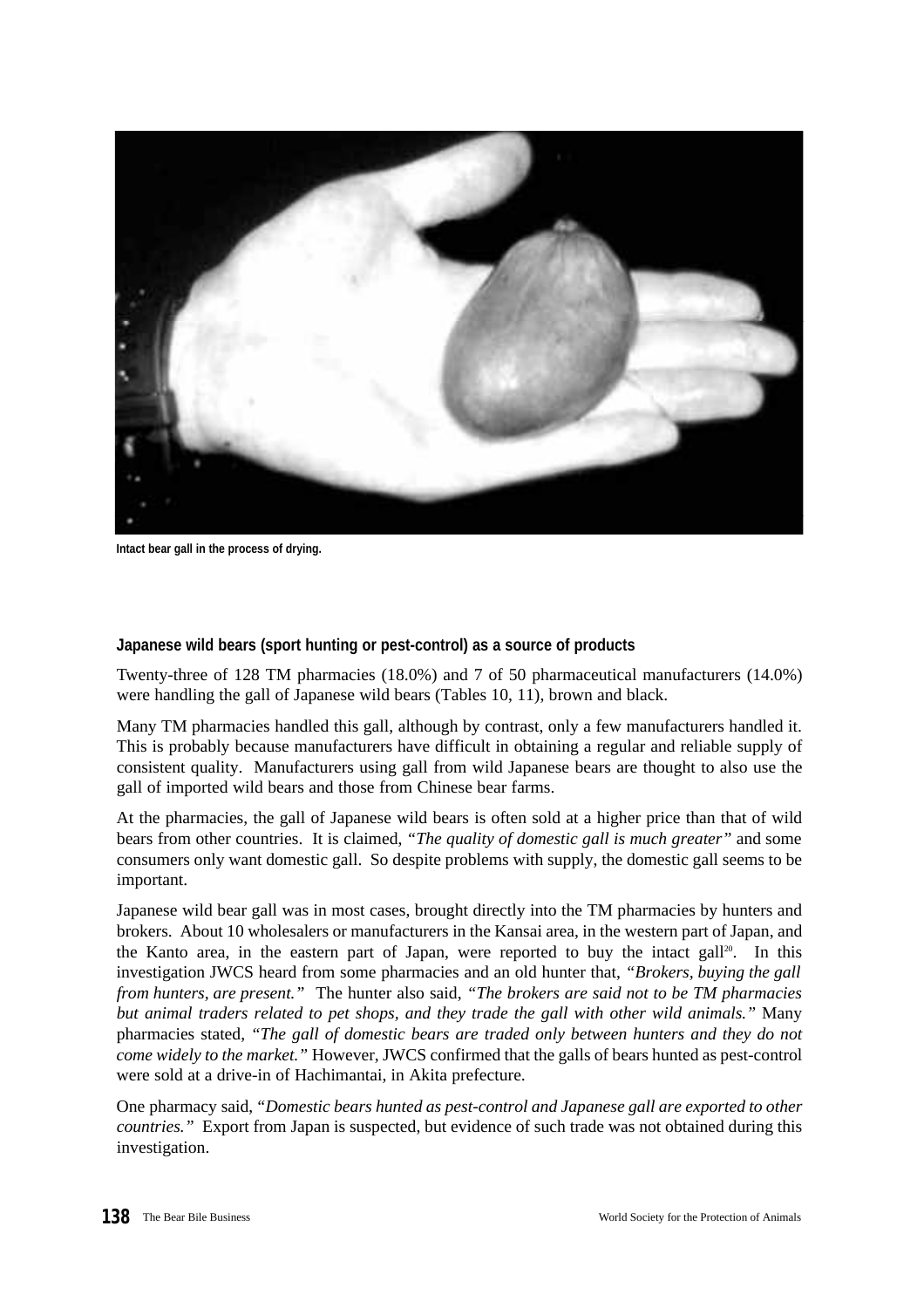

**Intact bear gall in the process of drying.**

#### **Japanese wild bears (sport hunting or pest-control) as a source of products**

Twenty-three of 128 TM pharmacies (18.0%) and 7 of 50 pharmaceutical manufacturers (14.0%) were handling the gall of Japanese wild bears (Tables 10, 11), brown and black.

Many TM pharmacies handled this gall, although by contrast, only a few manufacturers handled it. This is probably because manufacturers have difficult in obtaining a regular and reliable supply of consistent quality. Manufacturers using gall from wild Japanese bears are thought to also use the gall of imported wild bears and those from Chinese bear farms.

At the pharmacies, the gall of Japanese wild bears is often sold at a higher price than that of wild bears from other countries. It is claimed, *"The quality of domestic gall is much greater"* and some consumers only want domestic gall. So despite problems with supply, the domestic gall seems to be important.

Japanese wild bear gall was in most cases, brought directly into the TM pharmacies by hunters and brokers. About 10 wholesalers or manufacturers in the Kansai area, in the western part of Japan, and the Kanto area, in the eastern part of Japan, were reported to buy the intact gall<sup>20</sup>. In this investigation JWCS heard from some pharmacies and an old hunter that, *"Brokers, buying the gall from hunters, are present."* The hunter also said, *"The brokers are said not to be TM pharmacies but animal traders related to pet shops, and they trade the gall with other wild animals."* Many pharmacies stated, *"The gall of domestic bears are traded only between hunters and they do not come widely to the market."* However, JWCS confirmed that the galls of bears hunted as pest-control were sold at a drive-in of Hachimantai, in Akita prefecture.

One pharmacy said, *"Domestic bears hunted as pest-control and Japanese gall are exported to other countries."* Export from Japan is suspected, but evidence of such trade was not obtained during this investigation.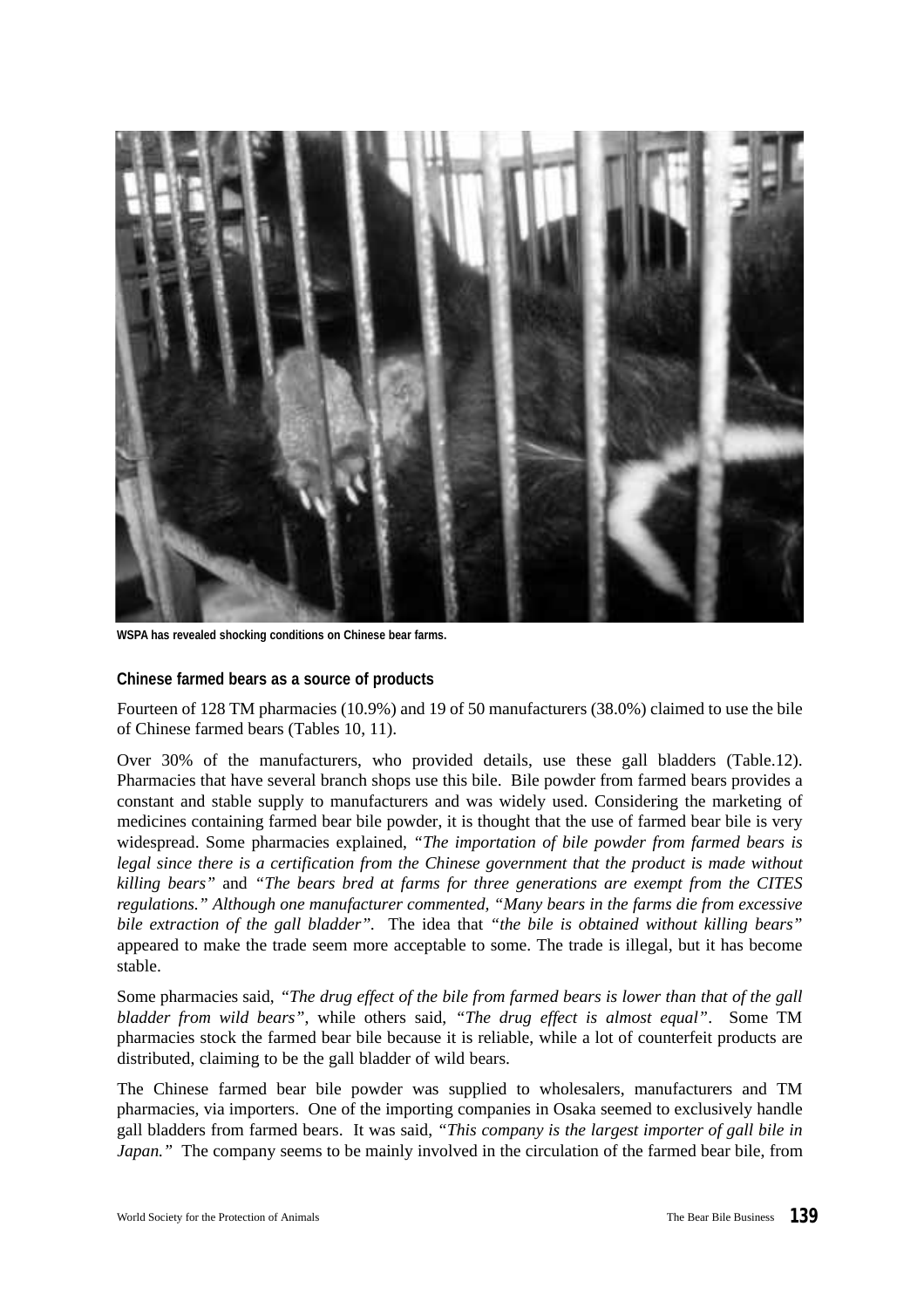

**WSPA has revealed shocking conditions on Chinese bear farms.**

#### **Chinese farmed bears as a source of products**

Fourteen of 128 TM pharmacies (10.9%) and 19 of 50 manufacturers (38.0%) claimed to use the bile of Chinese farmed bears (Tables 10, 11).

Over 30% of the manufacturers, who provided details, use these gall bladders (Table.12). Pharmacies that have several branch shops use this bile. Bile powder from farmed bears provides a constant and stable supply to manufacturers and was widely used. Considering the marketing of medicines containing farmed bear bile powder, it is thought that the use of farmed bear bile is very widespread. Some pharmacies explained, *"The importation of bile powder from farmed bears is legal since there is a certification from the Chinese government that the product is made without killing bears"* and *"The bears bred at farms for three generations are exempt from the CITES regulations." Although one manufacturer commented, "Many bears in the farms die from excessive bile extraction of the gall bladder"*. The idea that *"the bile is obtained without killing bears"* appeared to make the trade seem more acceptable to some. The trade is illegal, but it has become stable.

Some pharmacies said, *"The drug effect of the bile from farmed bears is lower than that of the gall bladder from wild bears"*, while others said, *"The drug effect is almost equal"*. Some TM pharmacies stock the farmed bear bile because it is reliable, while a lot of counterfeit products are distributed, claiming to be the gall bladder of wild bears.

The Chinese farmed bear bile powder was supplied to wholesalers, manufacturers and TM pharmacies, via importers. One of the importing companies in Osaka seemed to exclusively handle gall bladders from farmed bears. It was said, *"This company is the largest importer of gall bile in Japan.*" The company seems to be mainly involved in the circulation of the farmed bear bile, from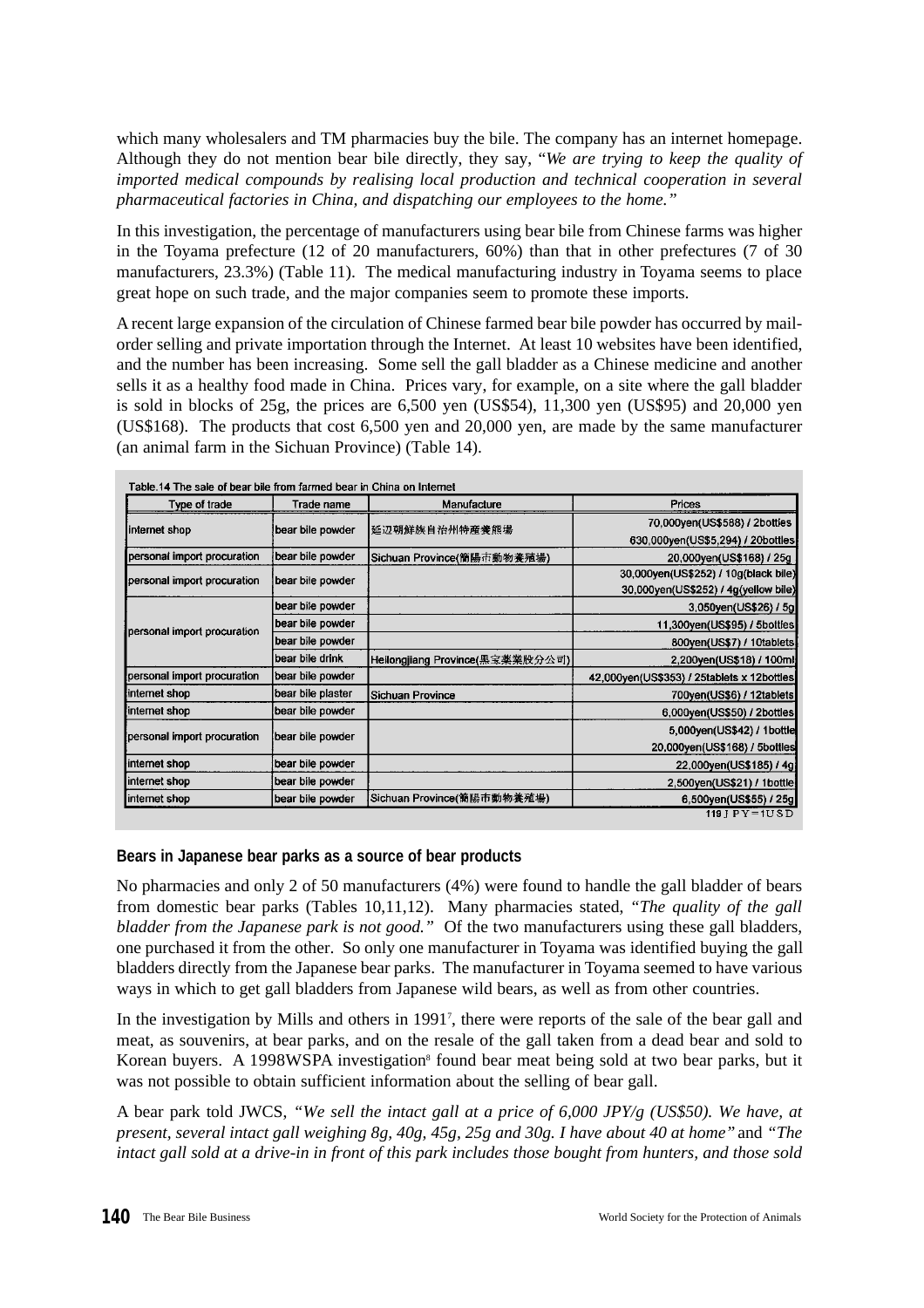which many wholesalers and TM pharmacies buy the bile. The company has an internet homepage. Although they do not mention bear bile directly, they say, "*We are trying to keep the quality of imported medical compounds by realising local production and technical cooperation in several pharmaceutical factories in China, and dispatching our employees to the home."*

In this investigation, the percentage of manufacturers using bear bile from Chinese farms was higher in the Toyama prefecture (12 of 20 manufacturers, 60%) than that in other prefectures (7 of 30 manufacturers, 23.3%) (Table 11). The medical manufacturing industry in Toyama seems to place great hope on such trade, and the major companies seem to promote these imports.

A recent large expansion of the circulation of Chinese farmed bear bile powder has occurred by mailorder selling and private importation through the Internet. At least 10 websites have been identified, and the number has been increasing. Some sell the gall bladder as a Chinese medicine and another sells it as a healthy food made in China. Prices vary, for example, on a site where the gall bladder is sold in blocks of  $25g$ , the prices are  $6,500$  yen  $(US$54)$ ,  $11,300$  yen  $(US$95)$  and  $20,000$  yen (US\$168). The products that cost 6,500 yen and 20,000 yen, are made by the same manufacturer (an animal farm in the Sichuan Province) (Table 14).

| Table 14 The sale of bear bile from farmed bear in China on Internet |                   |                                 |                                            |
|----------------------------------------------------------------------|-------------------|---------------------------------|--------------------------------------------|
| Type of trade                                                        | Trade name        | Manufacture                     | Prices                                     |
| internet shop                                                        | bear bile powder  | 延辺朝鮮族自治州特産養熊場                   | 70,000yen(US\$588) / 2bottles              |
|                                                                      |                   |                                 | 630,000yen(US\$5,294) / 20bottles          |
| personal import procuration                                          | bear bile powder  | Sichuan Province(簡陽市動物養殖場)      | 20,000yen(US\$168) / 25g                   |
| personal import procuration                                          | bear bile powder  |                                 | 30,000yen(US\$252) / 10g(black bile)       |
|                                                                      |                   |                                 | 30,000yen(US\$252) / 4g(yellow bile)       |
| personal import procuration                                          | bear bile powder  |                                 | 3,050yen(US\$26) / 5g                      |
|                                                                      | bear bile powder  |                                 | 11,300yen(US\$95) / 5bottles               |
|                                                                      | bear bile powder  |                                 | 800yen(US\$7) / 10tablets                  |
|                                                                      | bear bile drink   | Heilongjiang Province(黒宝薬業股分公司) | 2,200yen(US\$18) / 100ml                   |
| personal import procuration                                          | bear bile powder  |                                 | 42,000yen(US\$353) / 25tablets x 12bottles |
| internet shop                                                        | bear bile plaster | Sichuan Province                | 700yen(US\$6) / 12tablets                  |
| internet shop                                                        | bear bile powder  |                                 | 6,000yen(US\$50) / 2bottles                |
| personal import procuration                                          | bear bile powder  |                                 | 5,000yen(US\$42) / 1bottle                 |
|                                                                      |                   |                                 | 20,000yen(US\$168) / 5bottles              |
| internet shop                                                        | bear bile powder  |                                 | 22,000yen(US\$185) / 4g                    |
| internet shop                                                        | bear bile powder  |                                 | 2,500yen(US\$21) / 1bottle                 |
| internet shop                                                        | bear bile powder  | Sichuan Province(簡陽市動物養殖場)      | 6,500yen(US\$55) / 25g                     |
|                                                                      |                   |                                 | 119 $J$ P $Y = 1$ U S D                    |

**Bears in Japanese bear parks as a source of bear products**

No pharmacies and only 2 of 50 manufacturers (4%) were found to handle the gall bladder of bears from domestic bear parks (Tables 10,11,12). Many pharmacies stated, *"The quality of the gall bladder from the Japanese park is not good."* Of the two manufacturers using these gall bladders, one purchased it from the other. So only one manufacturer in Toyama was identified buying the gall bladders directly from the Japanese bear parks. The manufacturer in Toyama seemed to have various ways in which to get gall bladders from Japanese wild bears, as well as from other countries.

In the investigation by Mills and others in 1991<sup>7</sup> , there were reports of the sale of the bear gall and meat, as souvenirs, at bear parks, and on the resale of the gall taken from a dead bear and sold to Korean buyers. A 1998WSPA investigation<sup>8</sup> found bear meat being sold at two bear parks, but it was not possible to obtain sufficient information about the selling of bear gall.

A bear park told JWCS, *"We sell the intact gall at a price of 6,000 JPY/g (US\$50). We have, at present, several intact gall weighing 8g, 40g, 45g, 25g and 30g. I have about 40 at home"* and *"The intact gall sold at a drive-in in front of this park includes those bought from hunters, and those sold*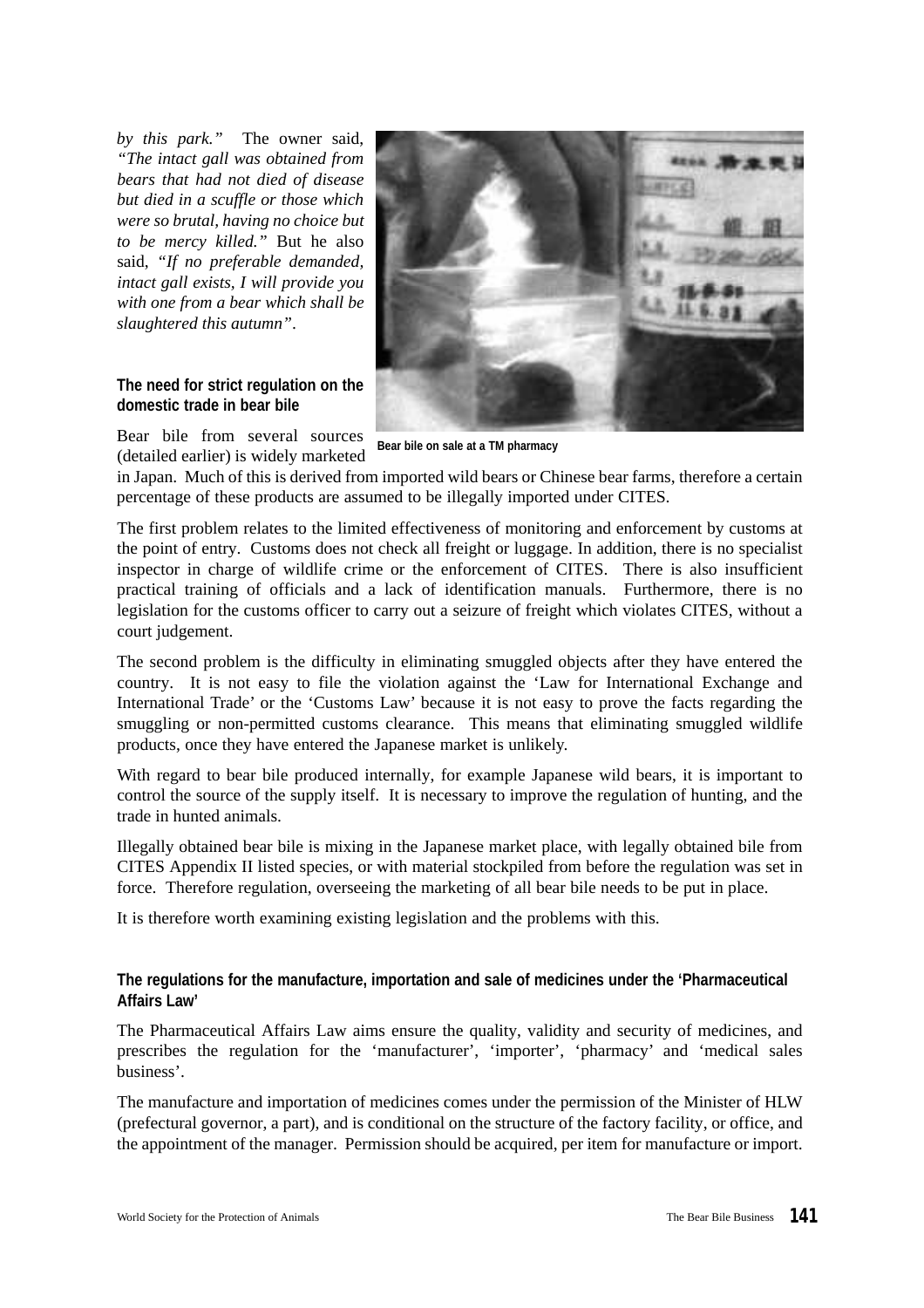*by this park."* The owner said, *"The intact gall was obtained from bears that had not died of disease but died in a scuffle or those which were so brutal, having no choice but to be mercy killed."* But he also said, *"If no preferable demanded, intact gall exists, I will provide you with one from a bear which shall be slaughtered this autumn"*.

#### **The need for strict regulation on the domestic trade in bear bile**



Bear bile from several sources (detailed earlier) is widely marketed

**Bear bile on sale at a TM pharmacy**

in Japan. Much of this is derived from imported wild bears or Chinese bear farms, therefore a certain percentage of these products are assumed to be illegally imported under CITES.

The first problem relates to the limited effectiveness of monitoring and enforcement by customs at the point of entry. Customs does not check all freight or luggage. In addition, there is no specialist inspector in charge of wildlife crime or the enforcement of CITES. There is also insufficient practical training of officials and a lack of identification manuals. Furthermore, there is no legislation for the customs officer to carry out a seizure of freight which violates CITES, without a court judgement.

The second problem is the difficulty in eliminating smuggled objects after they have entered the country. It is not easy to file the violation against the 'Law for International Exchange and International Trade' or the 'Customs Law' because it is not easy to prove the facts regarding the smuggling or non-permitted customs clearance. This means that eliminating smuggled wildlife products, once they have entered the Japanese market is unlikely.

With regard to bear bile produced internally, for example Japanese wild bears, it is important to control the source of the supply itself. It is necessary to improve the regulation of hunting, and the trade in hunted animals.

Illegally obtained bear bile is mixing in the Japanese market place, with legally obtained bile from CITES Appendix II listed species, or with material stockpiled from before the regulation was set in force. Therefore regulation, overseeing the marketing of all bear bile needs to be put in place.

It is therefore worth examining existing legislation and the problems with this.

# **The regulations for the manufacture, importation and sale of medicines under the 'Pharmaceutical Affairs Law'**

The Pharmaceutical Affairs Law aims ensure the quality, validity and security of medicines, and prescribes the regulation for the 'manufacturer', 'importer', 'pharmacy' and 'medical sales business'.

The manufacture and importation of medicines comes under the permission of the Minister of HLW (prefectural governor, a part), and is conditional on the structure of the factory facility, or office, and the appointment of the manager. Permission should be acquired, per item for manufacture or import.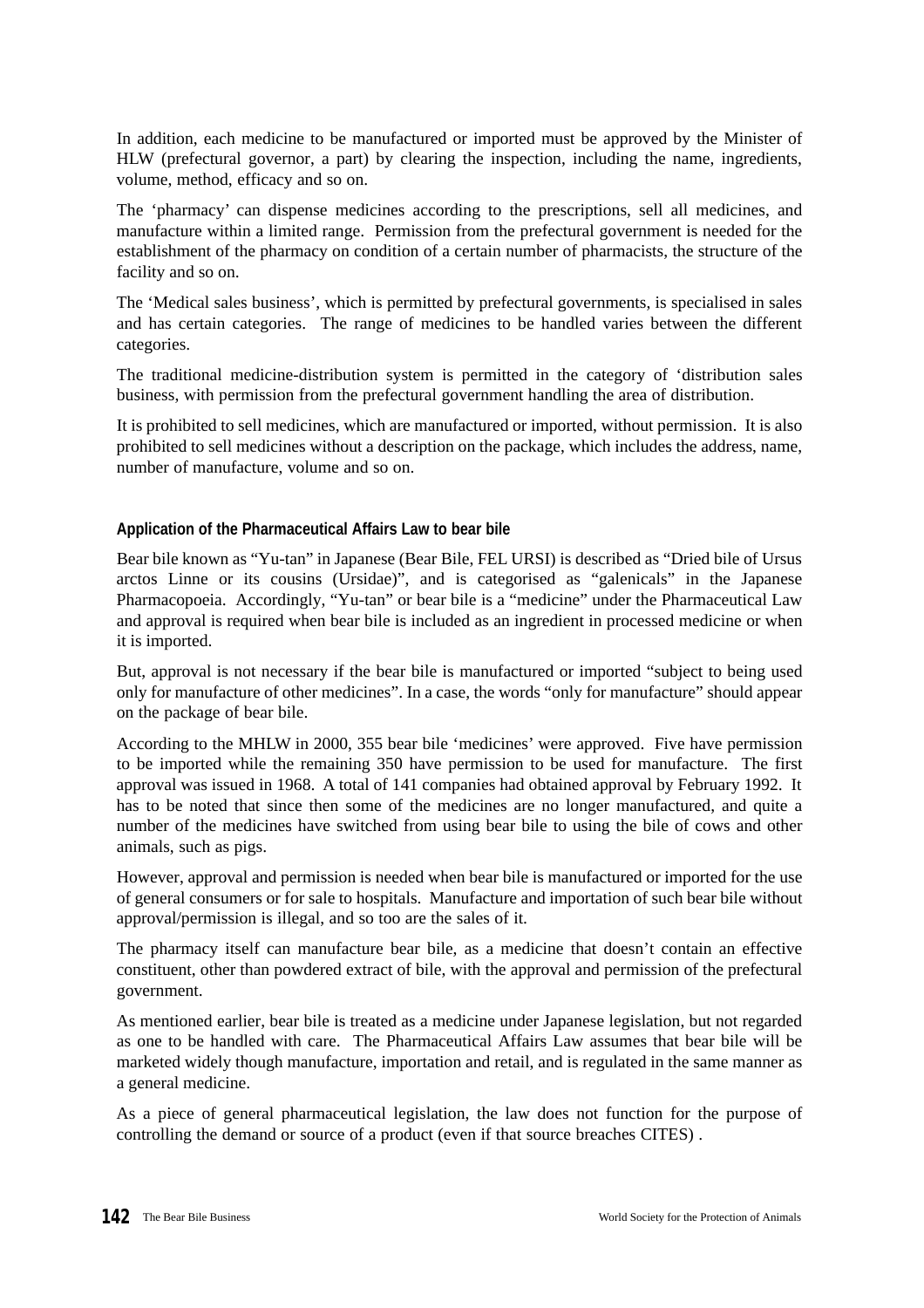In addition, each medicine to be manufactured or imported must be approved by the Minister of HLW (prefectural governor, a part) by clearing the inspection, including the name, ingredients, volume, method, efficacy and so on.

The 'pharmacy' can dispense medicines according to the prescriptions, sell all medicines, and manufacture within a limited range. Permission from the prefectural government is needed for the establishment of the pharmacy on condition of a certain number of pharmacists, the structure of the facility and so on.

The 'Medical sales business', which is permitted by prefectural governments, is specialised in sales and has certain categories. The range of medicines to be handled varies between the different categories.

The traditional medicine-distribution system is permitted in the category of 'distribution sales business, with permission from the prefectural government handling the area of distribution.

It is prohibited to sell medicines, which are manufactured or imported, without permission. It is also prohibited to sell medicines without a description on the package, which includes the address, name, number of manufacture, volume and so on.

## **Application of the Pharmaceutical Affairs Law to bear bile**

Bear bile known as "Yu-tan" in Japanese (Bear Bile, FEL URSI) is described as "Dried bile of Ursus arctos Linne or its cousins (Ursidae)", and is categorised as "galenicals" in the Japanese Pharmacopoeia. Accordingly, "Yu-tan" or bear bile is a "medicine" under the Pharmaceutical Law and approval is required when bear bile is included as an ingredient in processed medicine or when it is imported.

But, approval is not necessary if the bear bile is manufactured or imported "subject to being used only for manufacture of other medicines". In a case, the words "only for manufacture" should appear on the package of bear bile.

According to the MHLW in 2000, 355 bear bile 'medicines' were approved. Five have permission to be imported while the remaining 350 have permission to be used for manufacture. The first approval was issued in 1968. A total of 141 companies had obtained approval by February 1992. It has to be noted that since then some of the medicines are no longer manufactured, and quite a number of the medicines have switched from using bear bile to using the bile of cows and other animals, such as pigs.

However, approval and permission is needed when bear bile is manufactured or imported for the use of general consumers or for sale to hospitals. Manufacture and importation of such bear bile without approval/permission is illegal, and so too are the sales of it.

The pharmacy itself can manufacture bear bile, as a medicine that doesn't contain an effective constituent, other than powdered extract of bile, with the approval and permission of the prefectural government.

As mentioned earlier, bear bile is treated as a medicine under Japanese legislation, but not regarded as one to be handled with care. The Pharmaceutical Affairs Law assumes that bear bile will be marketed widely though manufacture, importation and retail, and is regulated in the same manner as a general medicine.

As a piece of general pharmaceutical legislation, the law does not function for the purpose of controlling the demand or source of a product (even if that source breaches CITES) .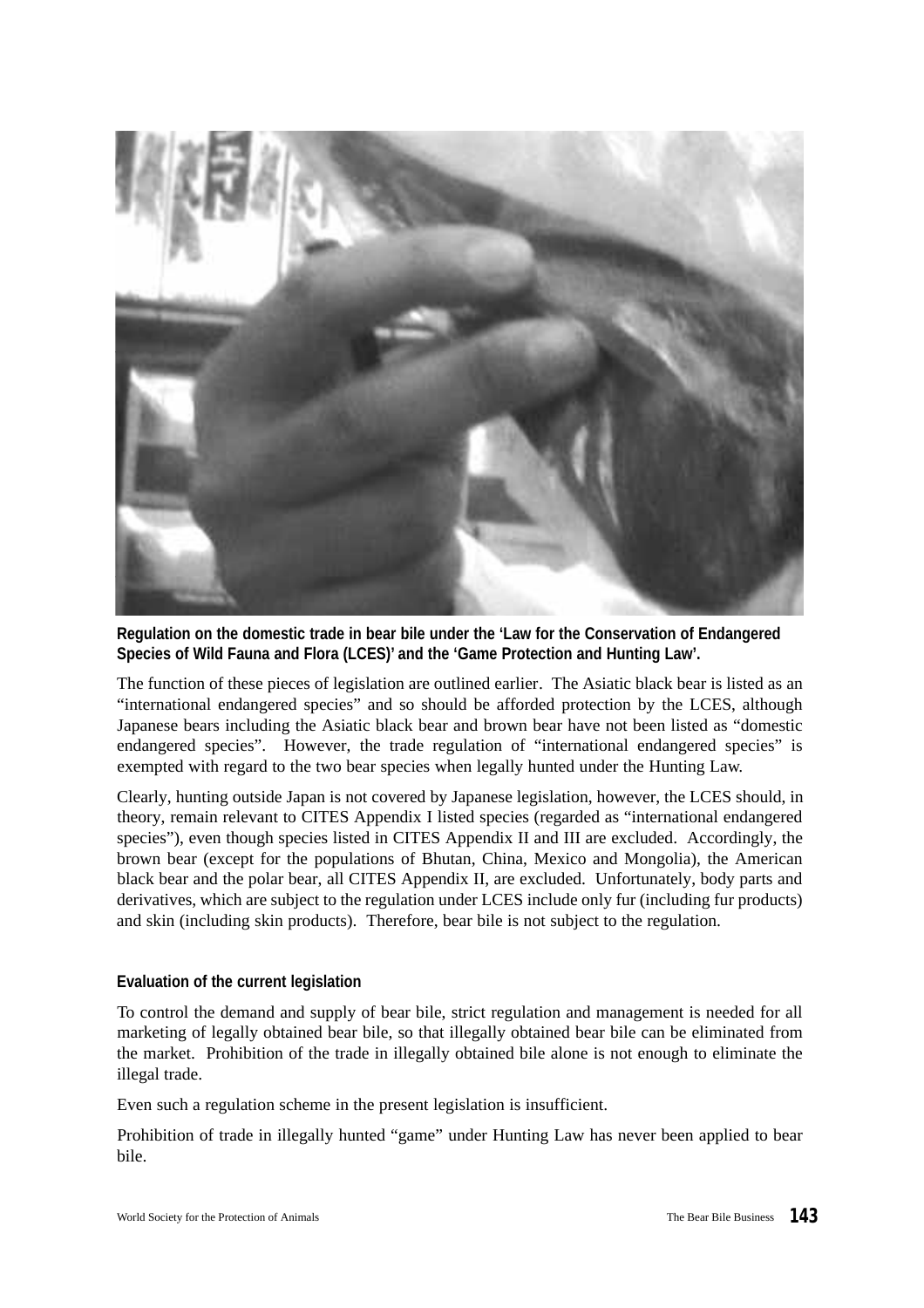

**Regulation on the domestic trade in bear bile under the 'Law for the Conservation of Endangered Species of Wild Fauna and Flora (LCES)' and the 'Game Protection and Hunting Law'.**

The function of these pieces of legislation are outlined earlier. The Asiatic black bear is listed as an "international endangered species" and so should be afforded protection by the LCES, although Japanese bears including the Asiatic black bear and brown bear have not been listed as "domestic endangered species". However, the trade regulation of "international endangered species" is exempted with regard to the two bear species when legally hunted under the Hunting Law.

Clearly, hunting outside Japan is not covered by Japanese legislation, however, the LCES should, in theory, remain relevant to CITES Appendix I listed species (regarded as "international endangered species"), even though species listed in CITES Appendix II and III are excluded. Accordingly, the brown bear (except for the populations of Bhutan, China, Mexico and Mongolia), the American black bear and the polar bear, all CITES Appendix II, are excluded. Unfortunately, body parts and derivatives, which are subject to the regulation under LCES include only fur (including fur products) and skin (including skin products). Therefore, bear bile is not subject to the regulation.

## **Evaluation of the current legislation**

To control the demand and supply of bear bile, strict regulation and management is needed for all marketing of legally obtained bear bile, so that illegally obtained bear bile can be eliminated from the market. Prohibition of the trade in illegally obtained bile alone is not enough to eliminate the illegal trade.

Even such a regulation scheme in the present legislation is insufficient.

Prohibition of trade in illegally hunted "game" under Hunting Law has never been applied to bear bile.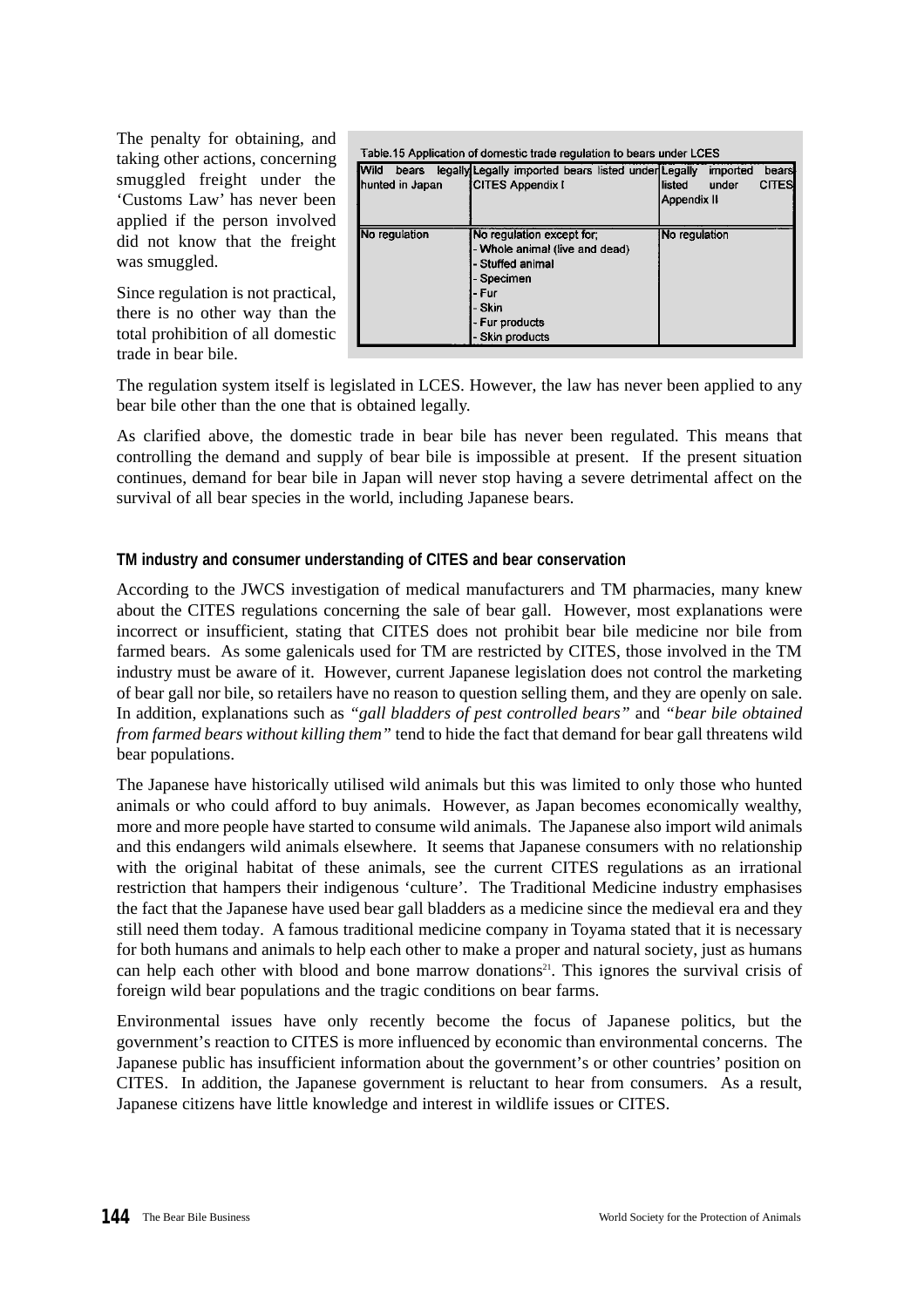The penalty for obtaining, and taking other actions, concerning smuggled freight under the 'Customs Law' has never been applied if the person involved did not know that the freight was smuggled.

Since regulation is not practical, there is no other way than the total prohibition of all domestic trade in bear bile.

| <b>I</b> Wild<br>bears<br>hunted in Japan | Table.15 Application of domestic trade regulation to bears under LCES<br>legally Legally imported bears listed under Legally<br><b>CITES Appendix I</b> | imported<br>llisted<br>under<br>Appendix II | bears<br><b>CITES</b> |
|-------------------------------------------|---------------------------------------------------------------------------------------------------------------------------------------------------------|---------------------------------------------|-----------------------|
| No regulation                             | No regulation except for;<br>- Whole animal (live and dead)<br>- Stuffed animal<br>- Specimen<br>l- Fur<br>- Skin<br>- Fur products<br>- Skin products  | No regulation                               |                       |

The regulation system itself is legislated in LCES. However, the law has never been applied to any bear bile other than the one that is obtained legally.

As clarified above, the domestic trade in bear bile has never been regulated. This means that controlling the demand and supply of bear bile is impossible at present. If the present situation continues, demand for bear bile in Japan will never stop having a severe detrimental affect on the survival of all bear species in the world, including Japanese bears.

# **TM industry and consumer understanding of CITES and bear conservation**

According to the JWCS investigation of medical manufacturers and TM pharmacies, many knew about the CITES regulations concerning the sale of bear gall. However, most explanations were incorrect or insufficient, stating that CITES does not prohibit bear bile medicine nor bile from farmed bears. As some galenicals used for TM are restricted by CITES, those involved in the TM industry must be aware of it. However, current Japanese legislation does not control the marketing of bear gall nor bile, so retailers have no reason to question selling them, and they are openly on sale. In addition, explanations such as *"gall bladders of pest controlled bears"* and *"bear bile obtained from farmed bears without killing them"* tend to hide the fact that demand for bear gall threatens wild bear populations.

The Japanese have historically utilised wild animals but this was limited to only those who hunted animals or who could afford to buy animals. However, as Japan becomes economically wealthy, more and more people have started to consume wild animals. The Japanese also import wild animals and this endangers wild animals elsewhere. It seems that Japanese consumers with no relationship with the original habitat of these animals, see the current CITES regulations as an irrational restriction that hampers their indigenous 'culture'. The Traditional Medicine industry emphasises the fact that the Japanese have used bear gall bladders as a medicine since the medieval era and they still need them today. A famous traditional medicine company in Toyama stated that it is necessary for both humans and animals to help each other to make a proper and natural society, just as humans can help each other with blood and bone marrow donations<sup>21</sup>. This ignores the survival crisis of foreign wild bear populations and the tragic conditions on bear farms.

Environmental issues have only recently become the focus of Japanese politics, but the government's reaction to CITES is more influenced by economic than environmental concerns. The Japanese public has insufficient information about the government's or other countries' position on CITES. In addition, the Japanese government is reluctant to hear from consumers. As a result, Japanese citizens have little knowledge and interest in wildlife issues or CITES.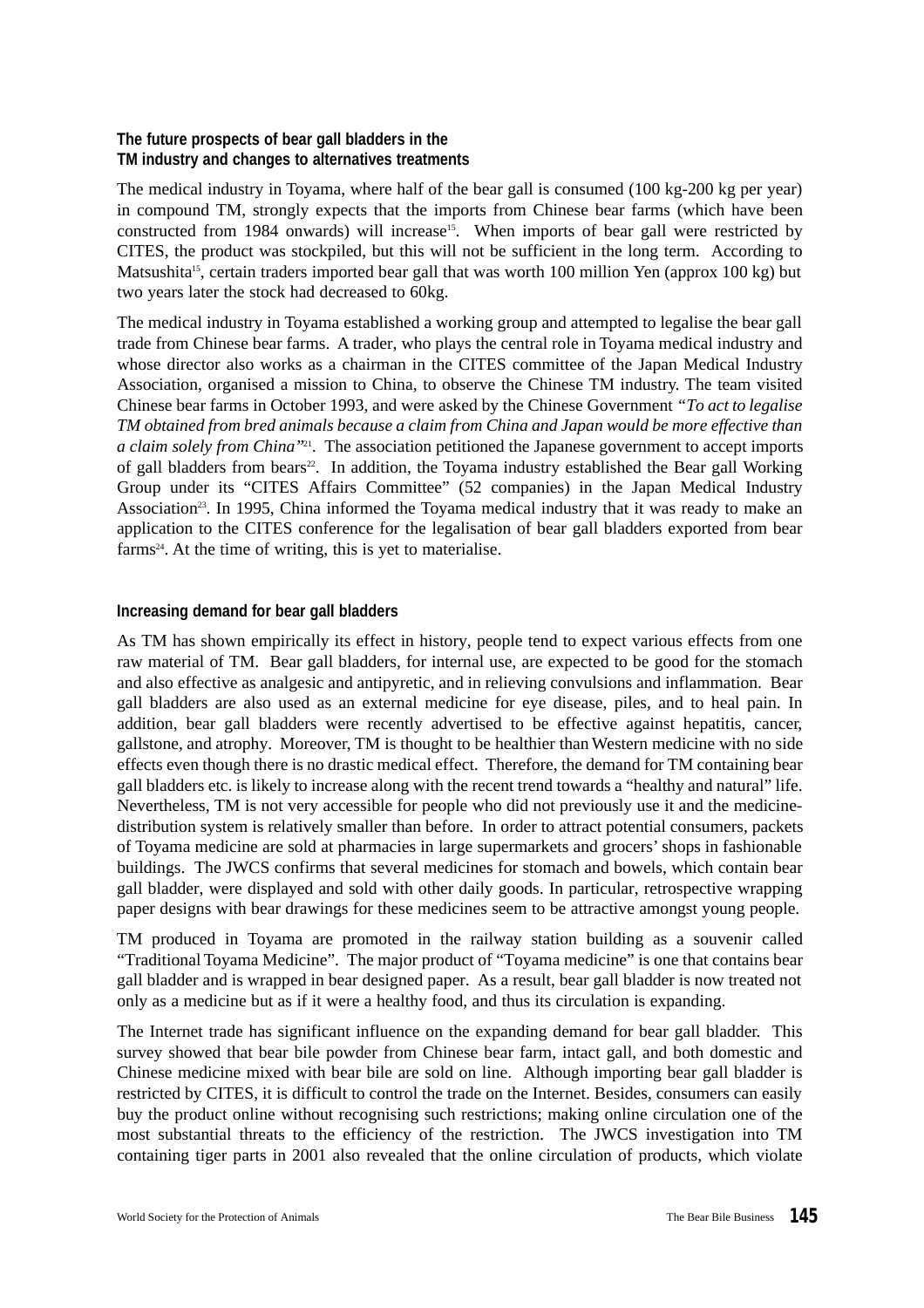# **The future prospects of bear gall bladders in the TM industry and changes to alternatives treatments**

The medical industry in Toyama, where half of the bear gall is consumed (100 kg-200 kg per year) in compound TM, strongly expects that the imports from Chinese bear farms (which have been constructed from 1984 onwards) will increase<sup>15</sup>. When imports of bear gall were restricted by CITES, the product was stockpiled, but this will not be sufficient in the long term. According to Matsushita<sup>15</sup>, certain traders imported bear gall that was worth 100 million Yen (approx 100 kg) but two years later the stock had decreased to 60kg.

The medical industry in Toyama established a working group and attempted to legalise the bear gall trade from Chinese bear farms. A trader, who plays the central role in Toyama medical industry and whose director also works as a chairman in the CITES committee of the Japan Medical Industry Association, organised a mission to China, to observe the Chinese TM industry. The team visited Chinese bear farms in October 1993, and were asked by the Chinese Government *"To act to legalise TM obtained from bred animals because a claim from China and Japan would be more effective than a claim solely from China"*<sup>21</sup> . The association petitioned the Japanese government to accept imports of gall bladders from bears<sup>22</sup>. In addition, the Toyama industry established the Bear gall Working Group under its "CITES Affairs Committee" (52 companies) in the Japan Medical Industry Association<sup>23</sup>. In 1995, China informed the Toyama medical industry that it was ready to make an application to the CITES conference for the legalisation of bear gall bladders exported from bear farms<sup>24</sup>. At the time of writing, this is yet to materialise.

# **Increasing demand for bear gall bladders**

As TM has shown empirically its effect in history, people tend to expect various effects from one raw material of TM. Bear gall bladders, for internal use, are expected to be good for the stomach and also effective as analgesic and antipyretic, and in relieving convulsions and inflammation. Bear gall bladders are also used as an external medicine for eye disease, piles, and to heal pain. In addition, bear gall bladders were recently advertised to be effective against hepatitis, cancer, gallstone, and atrophy. Moreover, TM is thought to be healthier than Western medicine with no side effects even though there is no drastic medical effect. Therefore, the demand for TM containing bear gall bladders etc. is likely to increase along with the recent trend towards a "healthy and natural" life. Nevertheless, TM is not very accessible for people who did not previously use it and the medicinedistribution system is relatively smaller than before. In order to attract potential consumers, packets of Toyama medicine are sold at pharmacies in large supermarkets and grocers'shops in fashionable buildings. The JWCS confirms that several medicines for stomach and bowels, which contain bear gall bladder, were displayed and sold with other daily goods. In particular, retrospective wrapping paper designs with bear drawings for these medicines seem to be attractive amongst young people.

TM produced in Toyama are promoted in the railway station building as a souvenir called "Traditional Toyama Medicine". The major product of "Toyama medicine" is one that contains bear gall bladder and is wrapped in bear designed paper. As a result, bear gall bladder is now treated not only as a medicine but as if it were a healthy food, and thus its circulation is expanding.

The Internet trade has significant influence on the expanding demand for bear gall bladder. This survey showed that bear bile powder from Chinese bear farm, intact gall, and both domestic and Chinese medicine mixed with bear bile are sold on line. Although importing bear gall bladder is restricted by CITES, it is difficult to control the trade on the Internet. Besides, consumers can easily buy the product online without recognising such restrictions; making online circulation one of the most substantial threats to the efficiency of the restriction. The JWCS investigation into TM containing tiger parts in 2001 also revealed that the online circulation of products, which violate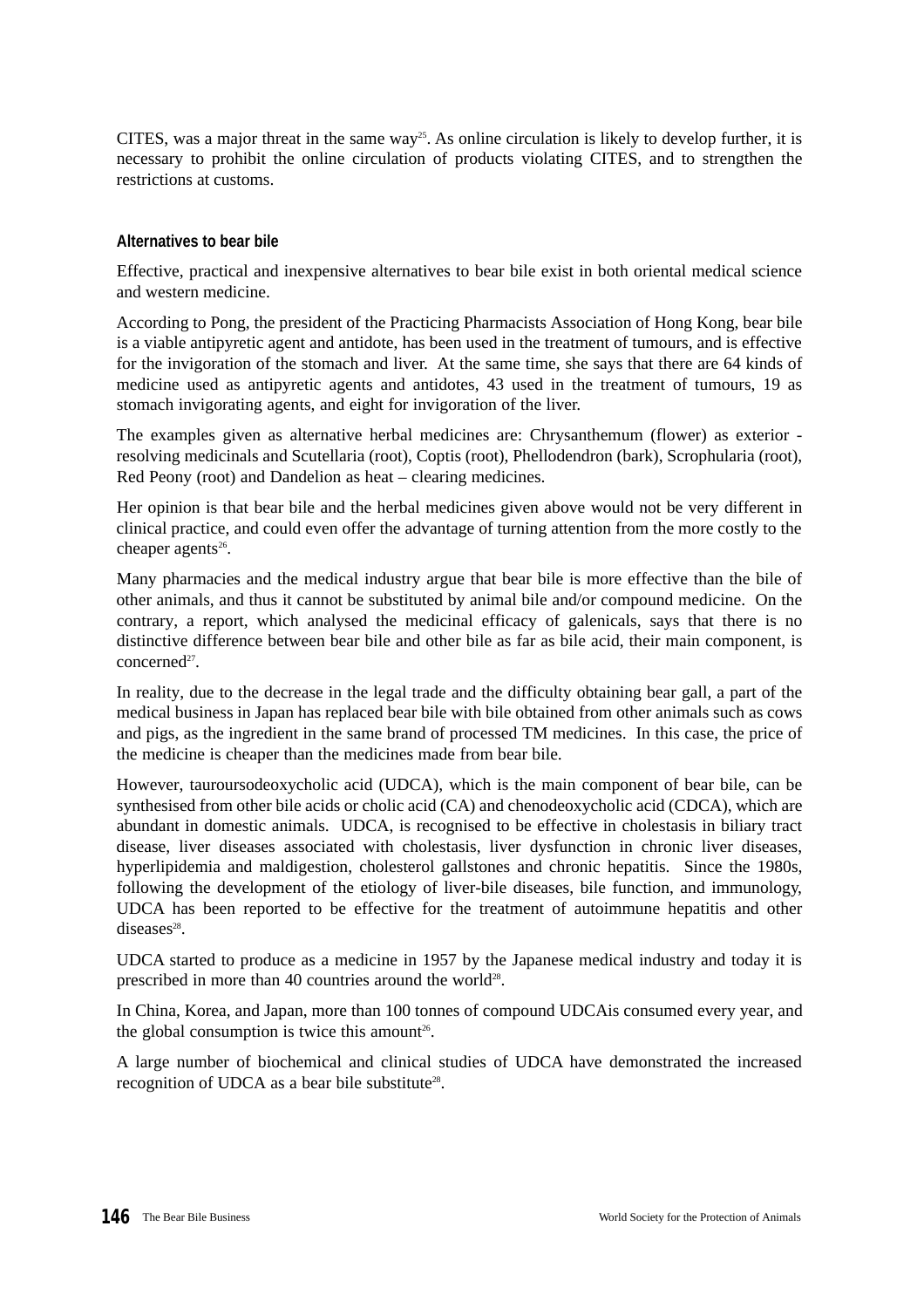CITES, was a major threat in the same way<sup>25</sup>. As online circulation is likely to develop further, it is necessary to prohibit the online circulation of products violating CITES, and to strengthen the restrictions at customs.

## **Alternatives to bear bile**

Effective, practical and inexpensive alternatives to bear bile exist in both oriental medical science and western medicine.

According to Pong, the president of the Practicing Pharmacists Association of Hong Kong, bear bile is a viable antipyretic agent and antidote, has been used in the treatment of tumours, and is effective for the invigoration of the stomach and liver. At the same time, she says that there are 64 kinds of medicine used as antipyretic agents and antidotes, 43 used in the treatment of tumours, 19 as stomach invigorating agents, and eight for invigoration of the liver.

The examples given as alternative herbal medicines are: Chrysanthemum (flower) as exterior resolving medicinals and Scutellaria (root), Coptis (root), Phellodendron (bark), Scrophularia (root), Red Peony (root) and Dandelion as heat – clearing medicines.

Her opinion is that bear bile and the herbal medicines given above would not be very different in clinical practice, and could even offer the advantage of turning attention from the more costly to the cheaper agents<sup>26</sup>.

Many pharmacies and the medical industry argue that bear bile is more effective than the bile of other animals, and thus it cannot be substituted by animal bile and/or compound medicine. On the contrary, a report, which analysed the medicinal efficacy of galenicals, says that there is no distinctive difference between bear bile and other bile as far as bile acid, their main component, is concerned<sup>27</sup>.

In reality, due to the decrease in the legal trade and the difficulty obtaining bear gall, a part of the medical business in Japan has replaced bear bile with bile obtained from other animals such as cows and pigs, as the ingredient in the same brand of processed TM medicines. In this case, the price of the medicine is cheaper than the medicines made from bear bile.

However, tauroursodeoxycholic acid (UDCA), which is the main component of bear bile, can be synthesised from other bile acids or cholic acid (CA) and chenodeoxycholic acid (CDCA), which are abundant in domestic animals. UDCA, is recognised to be effective in cholestasis in biliary tract disease, liver diseases associated with cholestasis, liver dysfunction in chronic liver diseases, hyperlipidemia and maldigestion, cholesterol gallstones and chronic hepatitis. Since the 1980s, following the development of the etiology of liver-bile diseases, bile function, and immunology, UDCA has been reported to be effective for the treatment of autoimmune hepatitis and other  $disease<sup>28</sup>$ .

UDCA started to produce as a medicine in 1957 by the Japanese medical industry and today it is prescribed in more than 40 countries around the world<sup>28</sup>.

In China, Korea, and Japan, more than 100 tonnes of compound UDCAis consumed every year, and the global consumption is twice this amount<sup>26</sup>.

A large number of biochemical and clinical studies of UDCA have demonstrated the increased recognition of UDCA as a bear bile substitute<sup>28</sup>.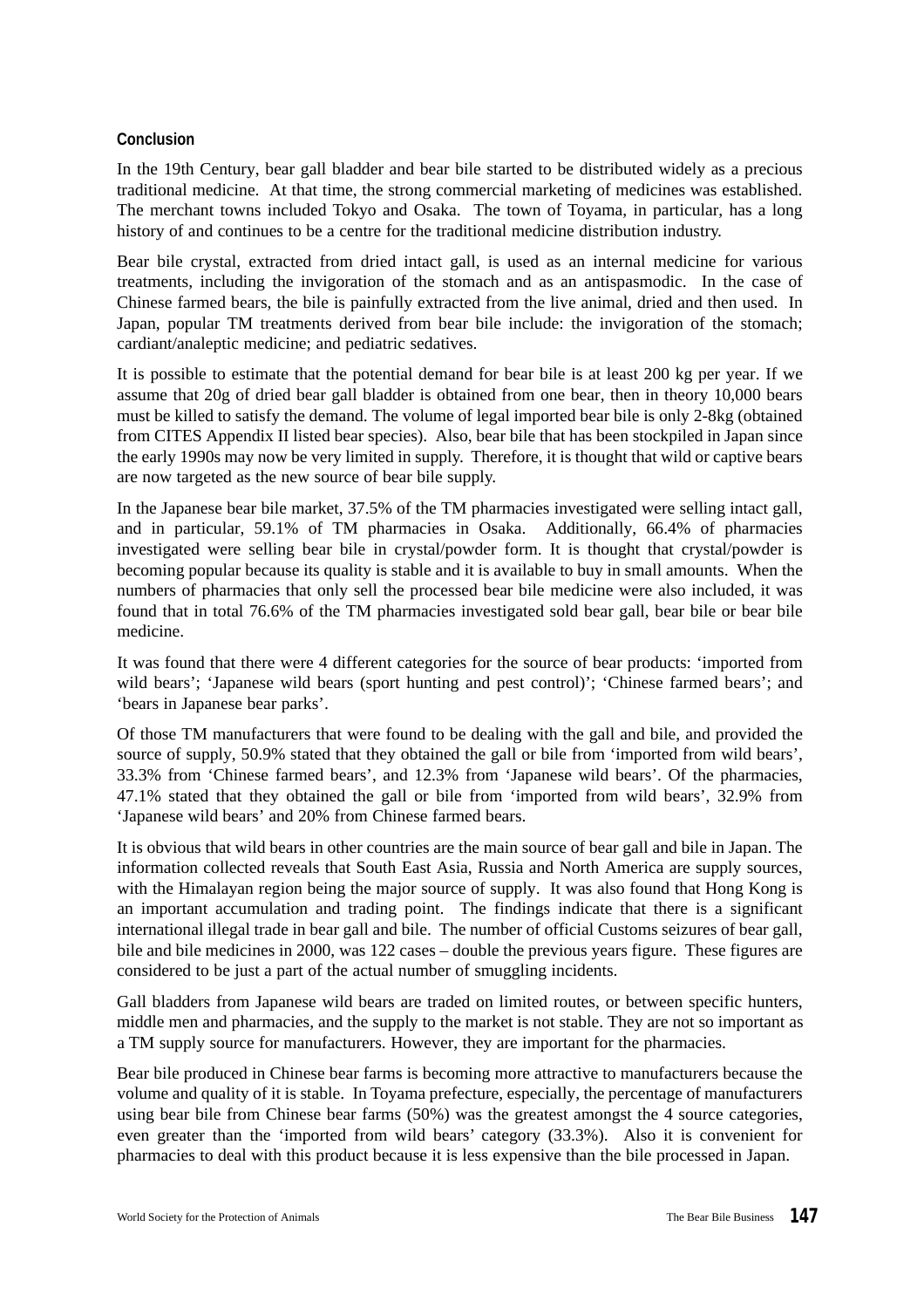# **Conclusion**

In the 19th Century, bear gall bladder and bear bile started to be distributed widely as a precious traditional medicine. At that time, the strong commercial marketing of medicines was established. The merchant towns included Tokyo and Osaka. The town of Toyama, in particular, has a long history of and continues to be a centre for the traditional medicine distribution industry.

Bear bile crystal, extracted from dried intact gall, is used as an internal medicine for various treatments, including the invigoration of the stomach and as an antispasmodic. In the case of Chinese farmed bears, the bile is painfully extracted from the live animal, dried and then used. In Japan, popular TM treatments derived from bear bile include: the invigoration of the stomach; cardiant/analeptic medicine; and pediatric sedatives.

It is possible to estimate that the potential demand for bear bile is at least 200 kg per year. If we assume that 20g of dried bear gall bladder is obtained from one bear, then in theory 10,000 bears must be killed to satisfy the demand. The volume of legal imported bear bile is only 2-8kg (obtained from CITES Appendix II listed bear species). Also, bear bile that has been stockpiled in Japan since the early 1990s may now be very limited in supply. Therefore, it is thought that wild or captive bears are now targeted as the new source of bear bile supply.

In the Japanese bear bile market, 37.5% of the TM pharmacies investigated were selling intact gall, and in particular, 59.1% of TM pharmacies in Osaka. Additionally, 66.4% of pharmacies investigated were selling bear bile in crystal/powder form. It is thought that crystal/powder is becoming popular because its quality is stable and it is available to buy in small amounts. When the numbers of pharmacies that only sell the processed bear bile medicine were also included, it was found that in total 76.6% of the TM pharmacies investigated sold bear gall, bear bile or bear bile medicine.

It was found that there were 4 different categories for the source of bear products: 'imported from wild bears'; 'Japanese wild bears (sport hunting and pest control)'; 'Chinese farmed bears'; and 'bears in Japanese bear parks'.

Of those TM manufacturers that were found to be dealing with the gall and bile, and provided the source of supply, 50.9% stated that they obtained the gall or bile from 'imported from wild bears', 33.3% from 'Chinese farmed bears', and 12.3% from 'Japanese wild bears'. Of the pharmacies, 47.1% stated that they obtained the gall or bile from 'imported from wild bears', 32.9% from 'Japanese wild bears' and 20% from Chinese farmed bears.

It is obvious that wild bears in other countries are the main source of bear gall and bile in Japan. The information collected reveals that South East Asia, Russia and North America are supply sources, with the Himalayan region being the major source of supply. It was also found that Hong Kong is an important accumulation and trading point. The findings indicate that there is a significant international illegal trade in bear gall and bile. The number of official Customs seizures of bear gall, bile and bile medicines in 2000, was 122 cases – double the previous years figure. These figures are considered to be just a part of the actual number of smuggling incidents.

Gall bladders from Japanese wild bears are traded on limited routes, or between specific hunters, middle men and pharmacies, and the supply to the market is not stable. They are not so important as a TM supply source for manufacturers. However, they are important for the pharmacies.

Bear bile produced in Chinese bear farms is becoming more attractive to manufacturers because the volume and quality of it is stable. In Toyama prefecture, especially, the percentage of manufacturers using bear bile from Chinese bear farms (50%) was the greatest amongst the 4 source categories, even greater than the 'imported from wild bears' category (33.3%). Also it is convenient for pharmacies to deal with this product because it is less expensive than the bile processed in Japan.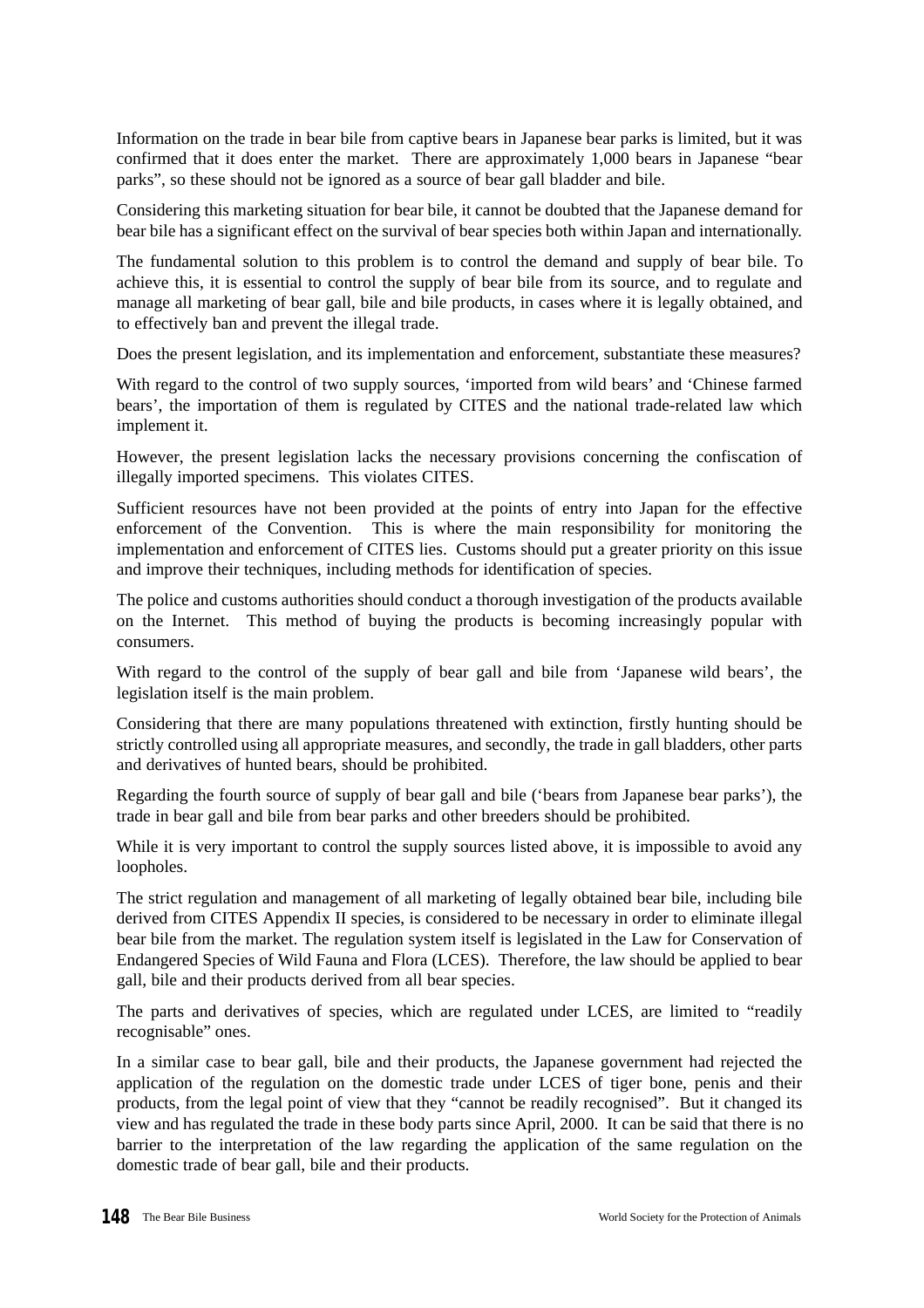Information on the trade in bear bile from captive bears in Japanese bear parks is limited, but it was confirmed that it does enter the market. There are approximately 1,000 bears in Japanese "bear parks", so these should not be ignored as a source of bear gall bladder and bile.

Considering this marketing situation for bear bile, it cannot be doubted that the Japanese demand for bear bile has a significant effect on the survival of bear species both within Japan and internationally.

The fundamental solution to this problem is to control the demand and supply of bear bile. To achieve this, it is essential to control the supply of bear bile from its source, and to regulate and manage all marketing of bear gall, bile and bile products, in cases where it is legally obtained, and to effectively ban and prevent the illegal trade.

Does the present legislation, and its implementation and enforcement, substantiate these measures?

With regard to the control of two supply sources, 'imported from wild bears' and 'Chinese farmed bears', the importation of them is regulated by CITES and the national trade-related law which implement it.

However, the present legislation lacks the necessary provisions concerning the confiscation of illegally imported specimens. This violates CITES.

Sufficient resources have not been provided at the points of entry into Japan for the effective enforcement of the Convention. This is where the main responsibility for monitoring the implementation and enforcement of CITES lies. Customs should put a greater priority on this issue and improve their techniques, including methods for identification of species.

The police and customs authorities should conduct a thorough investigation of the products available on the Internet. This method of buying the products is becoming increasingly popular with consumers.

With regard to the control of the supply of bear gall and bile from 'Japanese wild bears', the legislation itself is the main problem.

Considering that there are many populations threatened with extinction, firstly hunting should be strictly controlled using all appropriate measures, and secondly, the trade in gall bladders, other parts and derivatives of hunted bears, should be prohibited.

Regarding the fourth source of supply of bear gall and bile ('bears from Japanese bear parks'), the trade in bear gall and bile from bear parks and other breeders should be prohibited.

While it is very important to control the supply sources listed above, it is impossible to avoid any loopholes.

The strict regulation and management of all marketing of legally obtained bear bile, including bile derived from CITES Appendix II species, is considered to be necessary in order to eliminate illegal bear bile from the market. The regulation system itself is legislated in the Law for Conservation of Endangered Species of Wild Fauna and Flora (LCES). Therefore, the law should be applied to bear gall, bile and their products derived from all bear species.

The parts and derivatives of species, which are regulated under LCES, are limited to "readily recognisable" ones.

In a similar case to bear gall, bile and their products, the Japanese government had rejected the application of the regulation on the domestic trade under LCES of tiger bone, penis and their products, from the legal point of view that they "cannot be readily recognised". But it changed its view and has regulated the trade in these body parts since April, 2000. It can be said that there is no barrier to the interpretation of the law regarding the application of the same regulation on the domestic trade of bear gall, bile and their products.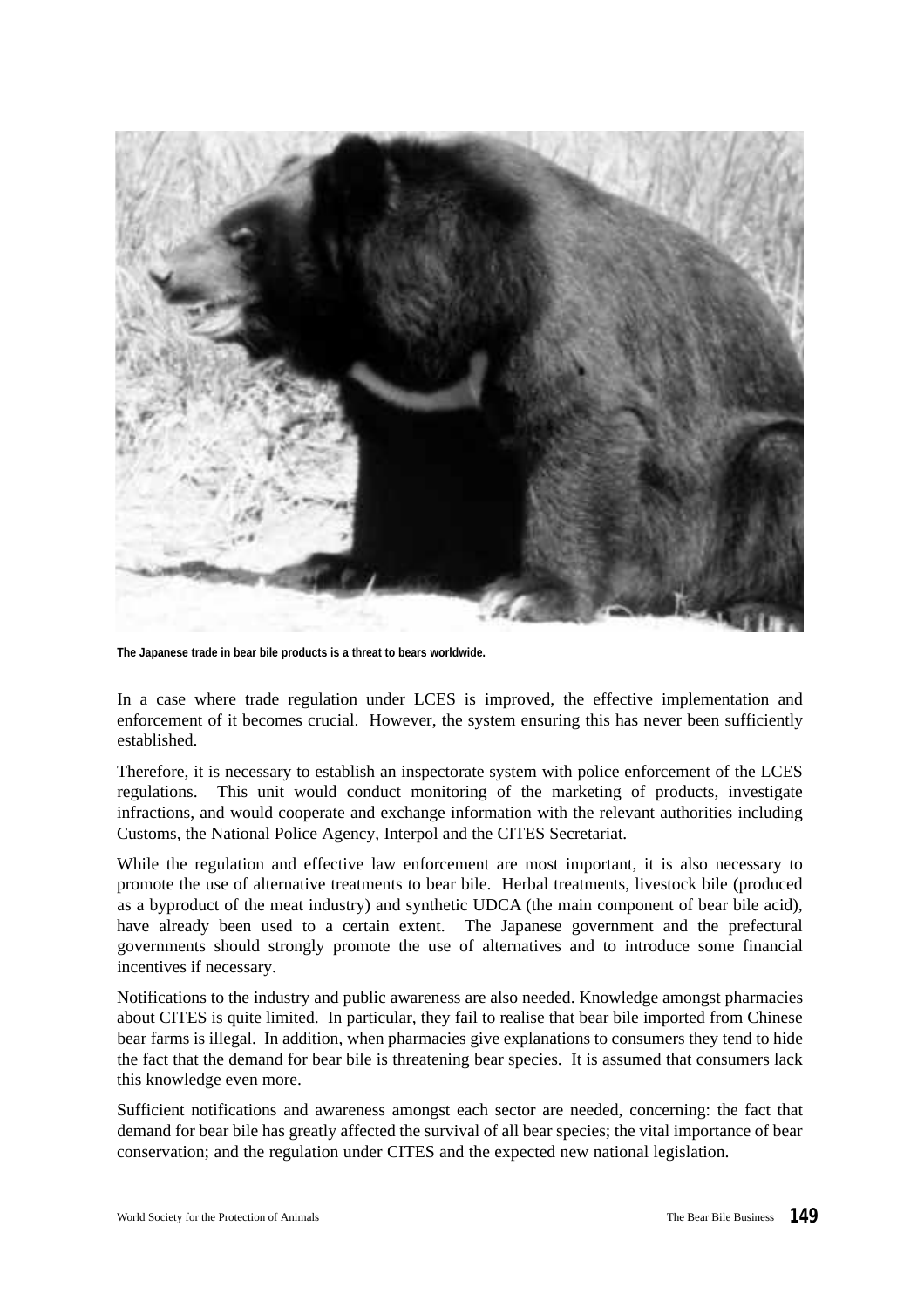

**The Japanese trade in bear bile products is a threat to bears worldwide.**

In a case where trade regulation under LCES is improved, the effective implementation and enforcement of it becomes crucial. However, the system ensuring this has never been sufficiently established.

Therefore, it is necessary to establish an inspectorate system with police enforcement of the LCES regulations. This unit would conduct monitoring of the marketing of products, investigate infractions, and would cooperate and exchange information with the relevant authorities including Customs, the National Police Agency, Interpol and the CITES Secretariat.

While the regulation and effective law enforcement are most important, it is also necessary to promote the use of alternative treatments to bear bile. Herbal treatments, livestock bile (produced as a byproduct of the meat industry) and synthetic UDCA (the main component of bear bile acid), have already been used to a certain extent. The Japanese government and the prefectural governments should strongly promote the use of alternatives and to introduce some financial incentives if necessary.

Notifications to the industry and public awareness are also needed. Knowledge amongst pharmacies about CITES is quite limited. In particular, they fail to realise that bear bile imported from Chinese bear farms is illegal. In addition, when pharmacies give explanations to consumers they tend to hide the fact that the demand for bear bile is threatening bear species. It is assumed that consumers lack this knowledge even more.

Sufficient notifications and awareness amongst each sector are needed, concerning: the fact that demand for bear bile has greatly affected the survival of all bear species; the vital importance of bear conservation; and the regulation under CITES and the expected new national legislation.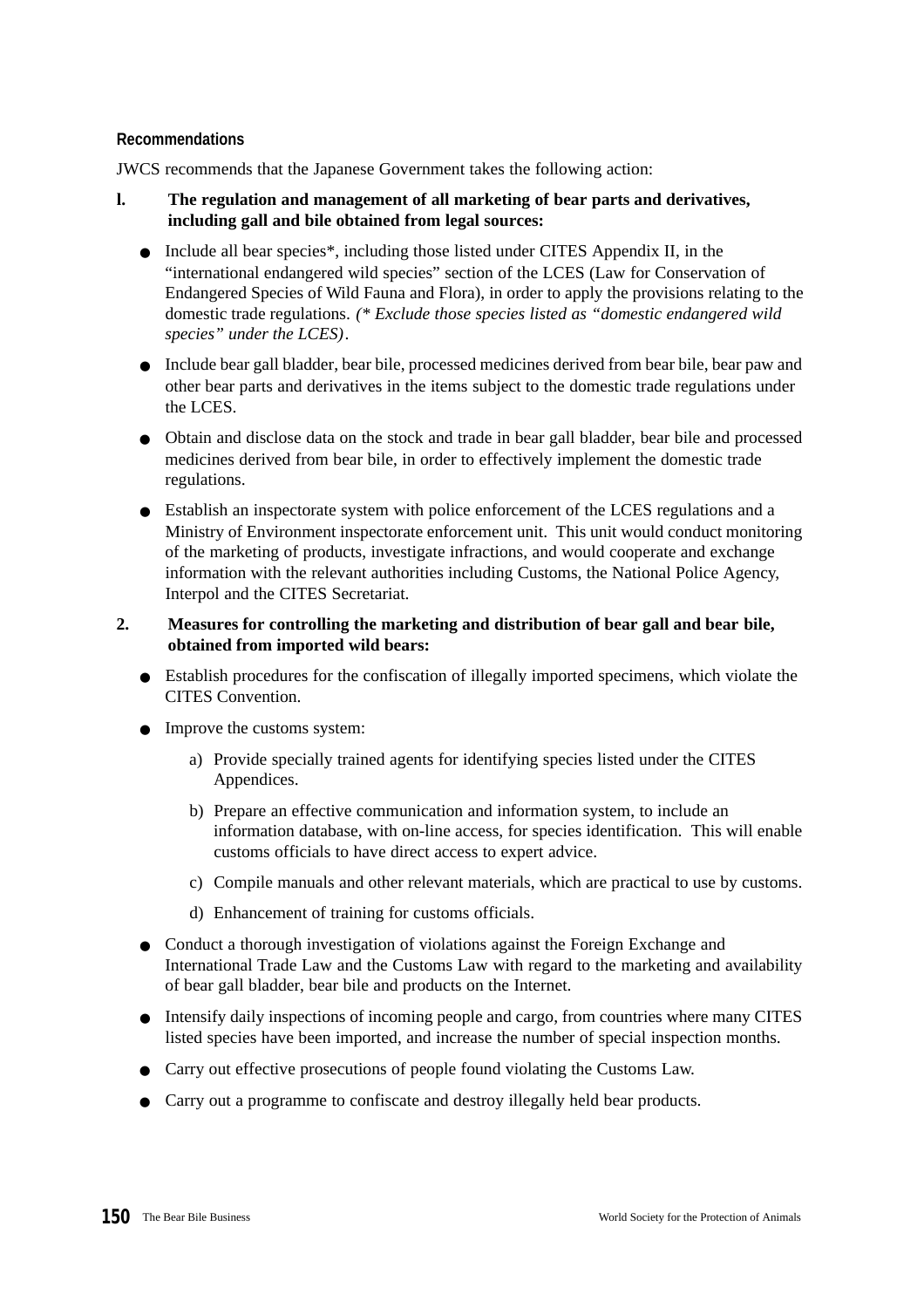# **Recommendations**

JWCS recommends that the Japanese Government takes the following action:

- **l. The regulation and management of all marketing of bear parts and derivatives, including gall and bile obtained from legal sources:**
	- Include all bear species\*, including those listed under CITES Appendix II, in the "international endangered wild species" section of the LCES (Law for Conservation of Endangered Species of Wild Fauna and Flora), in order to apply the provisions relating to the domestic trade regulations. *(\* Exclude those species listed as "domestic endangered wild species" under the LCES)*.
	- Include bear gall bladder, bear bile, processed medicines derived from bear bile, bear paw and other bear parts and derivatives in the items subject to the domestic trade regulations under the LCES.
	- Obtain and disclose data on the stock and trade in bear gall bladder, bear bile and processed medicines derived from bear bile, in order to effectively implement the domestic trade regulations.
	- Establish an inspectorate system with police enforcement of the LCES regulations and a Ministry of Environment inspectorate enforcement unit. This unit would conduct monitoring of the marketing of products, investigate infractions, and would cooperate and exchange information with the relevant authorities including Customs, the National Police Agency, Interpol and the CITES Secretariat.

# **2. Measures for controlling the marketing and distribution of bear gall and bear bile, obtained from imported wild bears:**

- Establish procedures for the confiscation of illegally imported specimens, which violate the CITES Convention.
- Improve the customs system:
	- a) Provide specially trained agents for identifying species listed under the CITES Appendices.
	- b) Prepare an effective communication and information system, to include an information database, with on-line access, for species identification. This will enable customs officials to have direct access to expert advice.
	- c) Compile manuals and other relevant materials, which are practical to use by customs.
	- d) Enhancement of training for customs officials.
- Conduct a thorough investigation of violations against the Foreign Exchange and International Trade Law and the Customs Law with regard to the marketing and availability of bear gall bladder, bear bile and products on the Internet.
- Intensify daily inspections of incoming people and cargo, from countries where many CITES listed species have been imported, and increase the number of special inspection months.
- Carry out effective prosecutions of people found violating the Customs Law.
- Carry out a programme to confiscate and destroy illegally held bear products.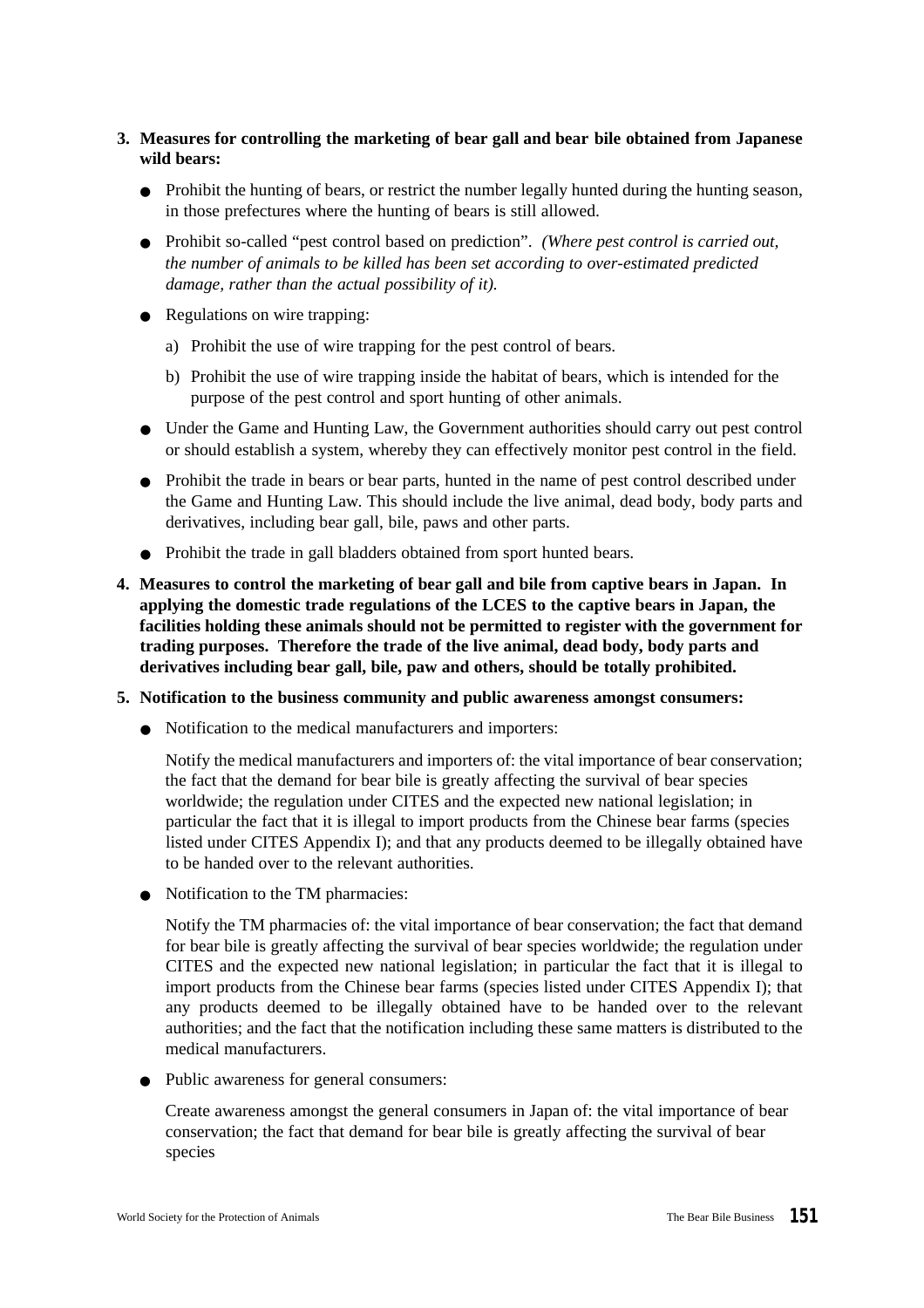# **3. Measures for controlling the marketing of bear gall and bear bile obtained from Japanese wild bears:**

- Prohibit the hunting of bears, or restrict the number legally hunted during the hunting season, in those prefectures where the hunting of bears is still allowed.
- Prohibit so-called "pest control based on prediction". *(Where pest control is carried out, the number of animals to be killed has been set according to over-estimated predicted damage, rather than the actual possibility of it).*
- Regulations on wire trapping:
	- a) Prohibit the use of wire trapping for the pest control of bears.
	- b) Prohibit the use of wire trapping inside the habitat of bears, which is intended for the purpose of the pest control and sport hunting of other animals.
- Under the Game and Hunting Law, the Government authorities should carry out pest control or should establish a system, whereby they can effectively monitor pest control in the field.
- Prohibit the trade in bears or bear parts, hunted in the name of pest control described under the Game and Hunting Law. This should include the live animal, dead body, body parts and derivatives, including bear gall, bile, paws and other parts.
- Prohibit the trade in gall bladders obtained from sport hunted bears.
- **4. Measures to control the marketing of bear gall and bile from captive bears in Japan. In applying the domestic trade regulations of the LCES to the captive bears in Japan, the facilities holding these animals should not be permitted to register with the government for trading purposes. Therefore the trade of the live animal, dead body, body parts and derivatives including bear gall, bile, paw and others, should be totally prohibited.**
- **5. Notification to the business community and public awareness amongst consumers:**
	- Notification to the medical manufacturers and importers:

Notify the medical manufacturers and importers of: the vital importance of bear conservation; the fact that the demand for bear bile is greatly affecting the survival of bear species worldwide; the regulation under CITES and the expected new national legislation; in particular the fact that it is illegal to import products from the Chinese bear farms (species listed under CITES Appendix I); and that any products deemed to be illegally obtained have to be handed over to the relevant authorities.

● Notification to the TM pharmacies:

Notify the TM pharmacies of: the vital importance of bear conservation; the fact that demand for bear bile is greatly affecting the survival of bear species worldwide; the regulation under CITES and the expected new national legislation; in particular the fact that it is illegal to import products from the Chinese bear farms (species listed under CITES Appendix I); that any products deemed to be illegally obtained have to be handed over to the relevant authorities; and the fact that the notification including these same matters is distributed to the medical manufacturers.

● Public awareness for general consumers:

Create awareness amongst the general consumers in Japan of: the vital importance of bear conservation; the fact that demand for bear bile is greatly affecting the survival of bear species